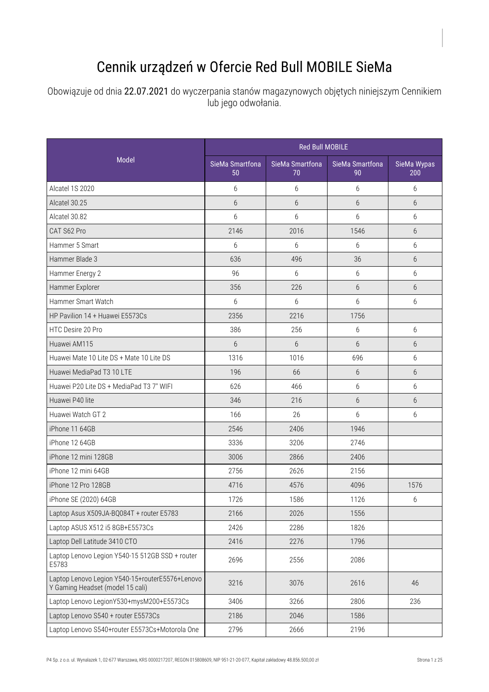## Cennik urządzeń w Ofercie Red Bull MOBILE SieMa

Obowiązuje od dnia 22.07.2021 do wyczerpania stanów magazynowych objętych niniejszym Cennikiem lub jego odwołania.

|                                                                                     | <b>Red Bull MOBILE</b> |                       |                       |                    |
|-------------------------------------------------------------------------------------|------------------------|-----------------------|-----------------------|--------------------|
| Model                                                                               | SieMa Smartfona<br>50  | SieMa Smartfona<br>70 | SieMa Smartfona<br>90 | SieMa Wypas<br>200 |
| Alcatel 1S 2020                                                                     | 6                      | 6                     | 6                     | 6                  |
| Alcatel 30.25                                                                       | 6                      | 6                     | 6                     | $6\overline{6}$    |
| Alcatel 30.82                                                                       | 6                      | 6                     | 6                     | 6                  |
| CAT S62 Pro                                                                         | 2146                   | 2016                  | 1546                  | 6                  |
| Hammer 5 Smart                                                                      | 6                      | 6                     | 6                     | 6                  |
| Hammer Blade 3                                                                      | 636                    | 496                   | 36                    | $6\overline{6}$    |
| Hammer Energy 2                                                                     | 96                     | 6                     | 6                     | 6                  |
| Hammer Explorer                                                                     | 356                    | 226                   | $6\overline{6}$       | $6\overline{6}$    |
| Hammer Smart Watch                                                                  | 6                      | 6                     | 6                     | 6                  |
| HP Pavilion 14 + Huawei E5573Cs                                                     | 2356                   | 2216                  | 1756                  |                    |
| HTC Desire 20 Pro                                                                   | 386                    | 256                   | 6                     | 6                  |
| Huawei AM115                                                                        | 6                      | 6                     | 6                     | 6                  |
| Huawei Mate 10 Lite DS + Mate 10 Lite DS                                            | 1316                   | 1016                  | 696                   | 6                  |
| Huawei MediaPad T3 10 LTE                                                           | 196                    | 66                    | 6                     | $6\overline{6}$    |
| Huawei P20 Lite DS + MediaPad T3 7" WIFI                                            | 626                    | 466                   | 6                     | 6                  |
| Huawei P40 lite                                                                     | 346                    | 216                   | 6                     | $6\overline{6}$    |
| Huawei Watch GT 2                                                                   | 166                    | 26                    | 6                     | 6                  |
| iPhone 11 64GB                                                                      | 2546                   | 2406                  | 1946                  |                    |
| iPhone 12 64GB                                                                      | 3336                   | 3206                  | 2746                  |                    |
| iPhone 12 mini 128GB                                                                | 3006                   | 2866                  | 2406                  |                    |
| iPhone 12 mini 64GB                                                                 | 2756                   | 2626                  | 2156                  |                    |
| iPhone 12 Pro 128GB                                                                 | 4716                   | 4576                  | 4096                  | 1576               |
| iPhone SE (2020) 64GB                                                               | 1726                   | 1586                  | 1126                  | 6                  |
| Laptop Asus X509JA-BQ084T + router E5783                                            | 2166                   | 2026                  | 1556                  |                    |
| Laptop ASUS X512 i5 8GB+E5573Cs                                                     | 2426                   | 2286                  | 1826                  |                    |
| Laptop Dell Latitude 3410 CTO                                                       | 2416                   | 2276                  | 1796                  |                    |
| Laptop Lenovo Legion Y540-15 512GB SSD + router<br>E5783                            | 2696                   | 2556                  | 2086                  |                    |
| Laptop Lenovo Legion Y540-15+routerE5576+Lenovo<br>Y Gaming Headset (model 15 cali) | 3216                   | 3076                  | 2616                  | 46                 |
| Laptop Lenovo LegionY530+mysM200+E5573Cs                                            | 3406                   | 3266                  | 2806                  | 236                |
| Laptop Lenovo S540 + router E5573Cs                                                 | 2186                   | 2046                  | 1586                  |                    |
| Laptop Lenovo S540+router E5573Cs+Motorola One                                      | 2796                   | 2666                  | 2196                  |                    |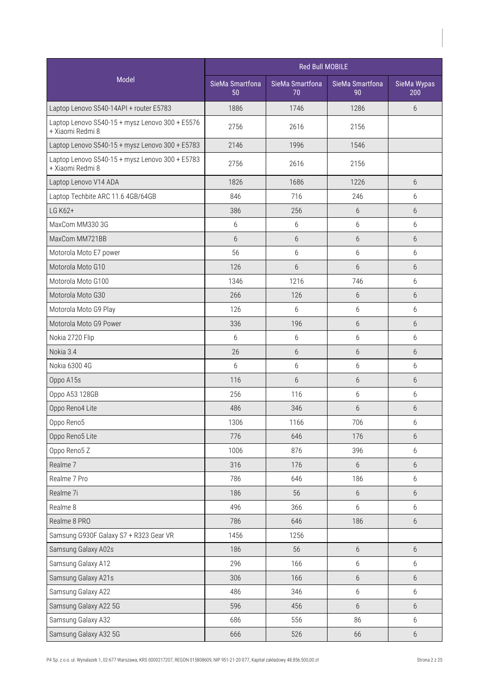|                                                                     | Red Bull MOBILE       |                       |                       |                    |
|---------------------------------------------------------------------|-----------------------|-----------------------|-----------------------|--------------------|
| Model                                                               | SieMa Smartfona<br>50 | SieMa Smartfona<br>70 | SieMa Smartfona<br>90 | SieMa Wypas<br>200 |
| Laptop Lenovo S540-14API + router E5783                             | 1886                  | 1746                  | 1286                  | 6                  |
| Laptop Lenovo S540-15 + mysz Lenovo 300 + E5576<br>+ Xiaomi Redmi 8 | 2756                  | 2616                  | 2156                  |                    |
| Laptop Lenovo S540-15 + mysz Lenovo 300 + E5783                     | 2146                  | 1996                  | 1546                  |                    |
| Laptop Lenovo S540-15 + mysz Lenovo 300 + E5783<br>+ Xiaomi Redmi 8 | 2756                  | 2616                  | 2156                  |                    |
| Laptop Lenovo V14 ADA                                               | 1826                  | 1686                  | 1226                  | 6                  |
| Laptop Techbite ARC 11.6 4GB/64GB                                   | 846                   | 716                   | 246                   | 6                  |
| LG K62+                                                             | 386                   | 256                   | 6                     | 6                  |
| MaxCom MM330 3G                                                     | 6                     | 6                     | $6\,$                 | 6                  |
| MaxCom MM721BB                                                      | 6                     | 6                     | 6                     | $6\overline{6}$    |
| Motorola Moto E7 power                                              | 56                    | 6                     | 6                     | 6                  |
| Motorola Moto G10                                                   | 126                   | 6                     | 6                     | 6                  |
| Motorola Moto G100                                                  | 1346                  | 1216                  | 746                   | 6                  |
| Motorola Moto G30                                                   | 266                   | 126                   | $6\,$                 | 6                  |
| Motorola Moto G9 Play                                               | 126                   | 6                     | 6                     | 6                  |
| Motorola Moto G9 Power                                              | 336                   | 196                   | 6                     | 6                  |
| Nokia 2720 Flip                                                     | 6                     | 6                     | 6                     | 6                  |
| Nokia 3.4                                                           | 26                    | 6                     | 6                     | 6                  |
| Nokia 6300 4G                                                       | 6                     | 6                     | 6                     | 6                  |
| Oppo A15s                                                           | 116                   | 6                     | $6\,$                 | 6                  |
| Oppo A53 128GB                                                      | 256                   | 116                   | $6\,$                 | 6                  |
| Oppo Reno4 Lite                                                     | 486                   | 346                   | 6                     | 6                  |
| Oppo Reno5                                                          | 1306                  | 1166                  | 706                   | 6                  |
| Oppo Reno5 Lite                                                     | 776                   | 646                   | 176                   | $6\,$              |
| Oppo Reno5 Z                                                        | 1006                  | 876                   | 396                   | 6                  |
| Realme 7                                                            | 316                   | 176                   | $6\,$                 | $6\,$              |
| Realme 7 Pro                                                        | 786                   | 646                   | 186                   | 6                  |
| Realme 7i                                                           | 186                   | 56                    | $6\,$                 | 6                  |
| Realme 8                                                            | 496                   | 366                   | $6\,$                 | 6                  |
| Realme 8 PRO                                                        | 786                   | 646                   | 186                   | 6                  |
| Samsung G930F Galaxy S7 + R323 Gear VR                              | 1456                  | 1256                  |                       |                    |
| Samsung Galaxy A02s                                                 | 186                   | 56                    | $6\,$                 | $6\,$              |
| Samsung Galaxy A12                                                  | 296                   | 166                   | $6\,$                 | $6\,$              |
| Samsung Galaxy A21s                                                 | 306                   | 166                   | $6\,$                 | $6\,$              |
| Samsung Galaxy A22                                                  | 486                   | 346                   | $6\,$                 | 6                  |
| Samsung Galaxy A22 5G                                               | 596                   | 456                   | $6\,$                 | 6                  |
| Samsung Galaxy A32                                                  | 686                   | 556                   | 86                    | 6                  |
| Samsung Galaxy A32 5G                                               | 666                   | 526                   | 66                    | $6\,$              |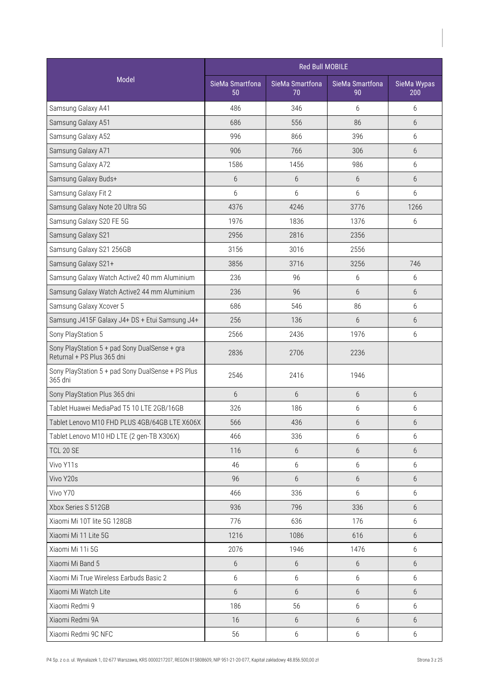|                                                                             | <b>Red Bull MOBILE</b> |                       |                       |                    |
|-----------------------------------------------------------------------------|------------------------|-----------------------|-----------------------|--------------------|
| Model                                                                       | SieMa Smartfona<br>50  | SieMa Smartfona<br>70 | SieMa Smartfona<br>90 | SieMa Wypas<br>200 |
| Samsung Galaxy A41                                                          | 486                    | 346                   | 6                     | 6                  |
| Samsung Galaxy A51                                                          | 686                    | 556                   | 86                    | 6                  |
| Samsung Galaxy A52                                                          | 996                    | 866                   | 396                   | 6                  |
| Samsung Galaxy A71                                                          | 906                    | 766                   | 306                   | 6                  |
| Samsung Galaxy A72                                                          | 1586                   | 1456                  | 986                   | 6                  |
| Samsung Galaxy Buds+                                                        | 6                      | $6\,$                 | 6                     | 6                  |
| Samsung Galaxy Fit 2                                                        | 6                      | 6                     | $6\,$                 | 6                  |
| Samsung Galaxy Note 20 Ultra 5G                                             | 4376                   | 4246                  | 3776                  | 1266               |
| Samsung Galaxy S20 FE 5G                                                    | 1976                   | 1836                  | 1376                  | 6                  |
| Samsung Galaxy S21                                                          | 2956                   | 2816                  | 2356                  |                    |
| Samsung Galaxy S21 256GB                                                    | 3156                   | 3016                  | 2556                  |                    |
| Samsung Galaxy S21+                                                         | 3856                   | 3716                  | 3256                  | 746                |
| Samsung Galaxy Watch Active2 40 mm Aluminium                                | 236                    | 96                    | 6                     | 6                  |
| Samsung Galaxy Watch Active2 44 mm Aluminium                                | 236                    | 96                    | 6                     | 6                  |
| Samsung Galaxy Xcover 5                                                     | 686                    | 546                   | 86                    | 6                  |
| Samsung J415F Galaxy J4+ DS + Etui Samsung J4+                              | 256                    | 136                   | 6                     | 6                  |
| Sony PlayStation 5                                                          | 2566                   | 2436                  | 1976                  | 6                  |
| Sony PlayStation 5 + pad Sony DualSense + gra<br>Returnal + PS Plus 365 dni | 2836                   | 2706                  | 2236                  |                    |
| Sony PlayStation 5 + pad Sony DualSense + PS Plus<br>365 dni                | 2546                   | 2416                  | 1946                  |                    |
| Sony PlayStation Plus 365 dni                                               | 6                      | 6                     | 6                     | 6                  |
| Tablet Huawei MediaPad T5 10 LTE 2GB/16GB                                   | 326                    | 186                   | 6                     | 6                  |
| Tablet Lenovo M10 FHD PLUS 4GB/64GB LTE X606X                               | 566                    | 436                   | 6                     | 6                  |
| Tablet Lenovo M10 HD LTE (2 gen-TB X306X)                                   | 466                    | 336                   | 6                     | 6                  |
| <b>TCL 20 SE</b>                                                            | 116                    | 6                     | 6                     | 6                  |
| Vivo Y11s                                                                   | 46                     | 6                     | 6                     | 6                  |
| Vivo Y20s                                                                   | 96                     | 6                     | $6\,$                 | 6                  |
| Vivo Y70                                                                    | 466                    | 336                   | $6\,$                 | 6                  |
| Xbox Series S 512GB                                                         | 936                    | 796                   | 336                   | 6                  |
| Xiaomi Mi 10T lite 5G 128GB                                                 | 776                    | 636                   | 176                   | 6                  |
| Xiaomi Mi 11 Lite 5G                                                        | 1216                   | 1086                  | 616                   | 6                  |
| Xiaomi Mi 11i 5G                                                            | 2076                   | 1946                  | 1476                  | 6                  |
| Xiaomi Mi Band 5                                                            | 6                      | 6                     | 6                     | 6                  |
| Xiaomi Mi True Wireless Earbuds Basic 2                                     | 6                      | 6                     | 6                     | 6                  |
| Xiaomi Mi Watch Lite                                                        | $6\,$                  | 6                     | $6\,$                 | 6                  |
| Xiaomi Redmi 9                                                              | 186                    | 56                    | $6\,$                 | 6                  |
| Xiaomi Redmi 9A                                                             | 16                     | 6                     | 6                     | 6                  |
| Xiaomi Redmi 9C NFC                                                         | 56                     | $6\,$                 | 6                     | 6                  |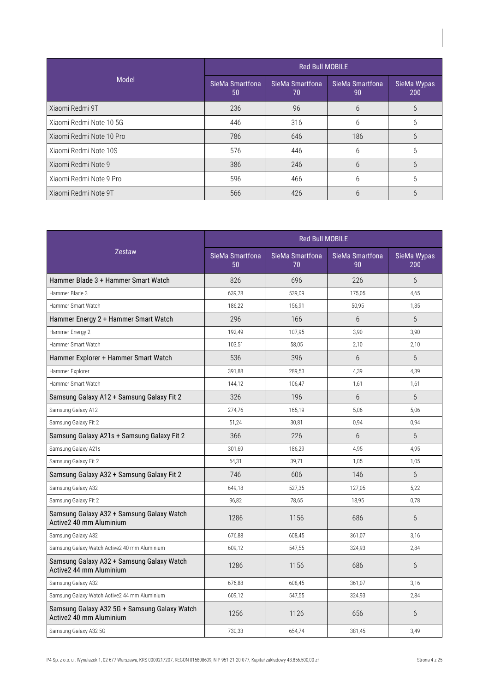| Model                    | <b>Red Bull MOBILE</b> |                         |                       |                    |
|--------------------------|------------------------|-------------------------|-----------------------|--------------------|
|                          | SieMa Smartfona<br>50  | SieMa Smartfona<br>.70' | SieMa Smartfona<br>90 | SieMa Wypas<br>200 |
| Xiaomi Redmi 9T          | 236                    | 96                      | 6                     | 6                  |
| Xiaomi Redmi Note 10 5G  | 446                    | 316                     | 6                     | 6                  |
| Xiaomi Redmi Note 10 Pro | 786                    | 646                     | 186                   | 6                  |
| Xiaomi Redmi Note 10S    | 576                    | 446                     | 6                     | 6                  |
| Xiaomi Redmi Note 9      | 386                    | 246                     | 6                     | 6                  |
| Xiaomi Redmi Note 9 Pro  | 596                    | 466                     | 6                     | 6                  |
| Xiaomi Redmi Note 9T     | 566                    | 426                     | 6                     | 6                  |

|                                                                         |                       | <b>Red Bull MOBILE</b> |                       |                    |  |
|-------------------------------------------------------------------------|-----------------------|------------------------|-----------------------|--------------------|--|
| <b>Zestaw</b>                                                           | SieMa Smartfona<br>50 | SieMa Smartfona<br>70  | SieMa Smartfona<br>90 | SieMa Wypas<br>200 |  |
| Hammer Blade 3 + Hammer Smart Watch                                     | 826                   | 696                    | 226                   | $6\overline{6}$    |  |
| Hammer Blade 3                                                          | 639,78                | 539.09                 | 175,05                | 4.65               |  |
| Hammer Smart Watch                                                      | 186,22                | 156,91                 | 50,95                 | 1,35               |  |
| Hammer Energy 2 + Hammer Smart Watch                                    | 296                   | 166                    | 6                     | 6                  |  |
| Hammer Energy 2                                                         | 192,49                | 107,95                 | 3,90                  | 3,90               |  |
| Hammer Smart Watch                                                      | 103,51                | 58,05                  | 2,10                  | 2,10               |  |
| Hammer Explorer + Hammer Smart Watch                                    | 536                   | 396                    | 6                     | $6\overline{6}$    |  |
| Hammer Explorer                                                         | 391.88                | 289.53                 | 4,39                  | 4,39               |  |
| Hammer Smart Watch                                                      | 144,12                | 106,47                 | 1,61                  | 1,61               |  |
| Samsung Galaxy A12 + Samsung Galaxy Fit 2                               | 326                   | 196                    | 6                     | 6                  |  |
| Samsung Galaxy A12                                                      | 274,76                | 165,19                 | 5,06                  | 5,06               |  |
| Samsung Galaxy Fit 2                                                    | 51,24                 | 30,81                  | 0,94                  | 0,94               |  |
| Samsung Galaxy A21s + Samsung Galaxy Fit 2                              | 366                   | 226                    | 6                     | $6\overline{6}$    |  |
| Samsung Galaxy A21s                                                     | 301,69                | 186,29                 | 4,95                  | 4,95               |  |
| Samsung Galaxy Fit 2                                                    | 64,31                 | 39,71                  | 1,05                  | 1,05               |  |
| Samsung Galaxy A32 + Samsung Galaxy Fit 2                               | 746                   | 606                    | 146                   | 6                  |  |
| Samsung Galaxy A32                                                      | 649,18                | 527,35                 | 127,05                | 5,22               |  |
| Samsung Galaxy Fit 2                                                    | 96,82                 | 78,65                  | 18,95                 | 0,78               |  |
| Samsung Galaxy A32 + Samsung Galaxy Watch<br>Active2 40 mm Aluminium    | 1286                  | 1156                   | 686                   | 6                  |  |
| Samsung Galaxy A32                                                      | 676.88                | 608,45                 | 361,07                | 3.16               |  |
| Samsung Galaxy Watch Active2 40 mm Aluminium                            | 609,12                | 547,55                 | 324,93                | 2,84               |  |
| Samsung Galaxy A32 + Samsung Galaxy Watch<br>Active2 44 mm Aluminium    | 1286                  | 1156                   | 686                   | 6                  |  |
| Samsung Galaxy A32                                                      | 676,88                | 608,45                 | 361,07                | 3,16               |  |
| Samsung Galaxy Watch Active2 44 mm Aluminium                            | 609,12                | 547,55                 | 324,93                | 2,84               |  |
| Samsung Galaxy A32 5G + Samsung Galaxy Watch<br>Active2 40 mm Aluminium | 1256                  | 1126                   | 656                   | 6                  |  |
| Samsung Galaxy A32 5G                                                   | 730,33                | 654,74                 | 381,45                | 3,49               |  |
|                                                                         |                       |                        |                       |                    |  |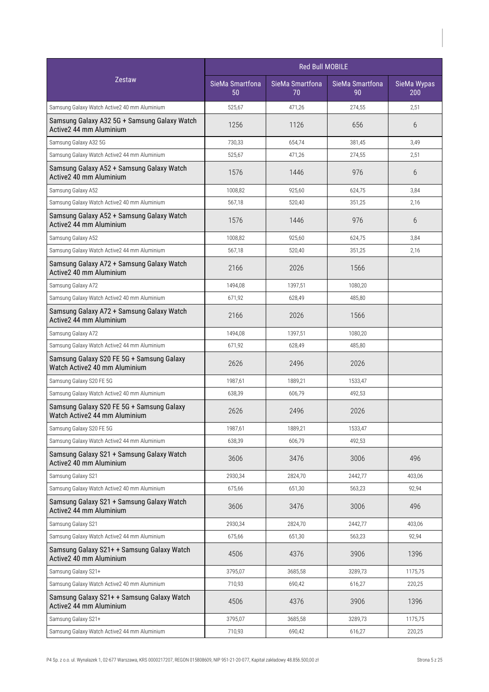|                                                                            | <b>Red Bull MOBILE</b> |                       |                       |                    |
|----------------------------------------------------------------------------|------------------------|-----------------------|-----------------------|--------------------|
| <b>Zestaw</b>                                                              | SieMa Smartfona<br>50  | SieMa Smartfona<br>70 | SieMa Smartfona<br>90 | SieMa Wypas<br>200 |
| Samsung Galaxy Watch Active2 40 mm Aluminium                               | 525,67                 | 471,26                | 274,55                | 2.51               |
| Samsung Galaxy A32 5G + Samsung Galaxy Watch<br>Active2 44 mm Aluminium    | 1256                   | 1126                  | 656                   | 6                  |
| Samsung Galaxy A32 5G                                                      | 730,33                 | 654,74                | 381,45                | 3,49               |
| Samsung Galaxy Watch Active2 44 mm Aluminium                               | 525,67                 | 471,26                | 274,55                | 2,51               |
| Samsung Galaxy A52 + Samsung Galaxy Watch<br>Active 240 mm Aluminium       | 1576                   | 1446                  | 976                   | 6                  |
| Samsung Galaxy A52                                                         | 1008,82                | 925,60                | 624,75                | 3,84               |
| Samsung Galaxy Watch Active2 40 mm Aluminium                               | 567,18                 | 520,40                | 351,25                | 2,16               |
| Samsung Galaxy A52 + Samsung Galaxy Watch<br>Active2 44 mm Aluminium       | 1576                   | 1446                  | 976                   | 6                  |
| Samsung Galaxy A52                                                         | 1008,82                | 925,60                | 624,75                | 3.84               |
| Samsung Galaxy Watch Active2 44 mm Aluminium                               | 567,18                 | 520,40                | 351,25                | 2,16               |
| Samsung Galaxy A72 + Samsung Galaxy Watch<br>Active 240 mm Aluminium       | 2166                   | 2026                  | 1566                  |                    |
| Samsung Galaxy A72                                                         | 1494,08                | 1397,51               | 1080,20               |                    |
| Samsung Galaxy Watch Active2 40 mm Aluminium                               | 671,92                 | 628,49                | 485,80                |                    |
| Samsung Galaxy A72 + Samsung Galaxy Watch<br>Active2 44 mm Aluminium       | 2166                   | 2026                  | 1566                  |                    |
| Samsung Galaxy A72                                                         | 1494,08                | 1397,51               | 1080,20               |                    |
| Samsung Galaxy Watch Active2 44 mm Aluminium                               | 671,92                 | 628,49                | 485,80                |                    |
| Samsung Galaxy S20 FE 5G + Samsung Galaxy<br>Watch Active2 40 mm Aluminium | 2626                   | 2496                  | 2026                  |                    |
| Samsung Galaxy S20 FE 5G                                                   | 1987,61                | 1889,21               | 1533,47               |                    |
| Samsung Galaxy Watch Active2 40 mm Aluminium                               | 638,39                 | 606,79                | 492,53                |                    |
| Samsung Galaxy S20 FE 5G + Samsung Galaxy<br>Watch Active2 44 mm Aluminium | 2626                   | 2496                  | 2026                  |                    |
| Samsung Galaxy S20 FE 5G                                                   | 1987,61                | 1889,21               | 1533,47               |                    |
| Samsung Galaxy Watch Active2 44 mm Aluminium                               | 638,39                 | 606,79                | 492,53                |                    |
| Samsung Galaxy S21 + Samsung Galaxy Watch<br>Active2 40 mm Aluminium       | 3606                   | 3476                  | 3006                  | 496                |
| Samsung Galaxy S21                                                         | 2930,34                | 2824,70               | 2442,77               | 403,06             |
| Samsung Galaxy Watch Active2 40 mm Aluminium                               | 675,66                 | 651,30                | 563,23                | 92,94              |
| Samsung Galaxy S21 + Samsung Galaxy Watch<br>Active2 44 mm Aluminium       | 3606                   | 3476                  | 3006                  | 496                |
| Samsung Galaxy S21                                                         | 2930,34                | 2824,70               | 2442,77               | 403,06             |
| Samsung Galaxy Watch Active2 44 mm Aluminium                               | 675,66                 | 651,30                | 563,23                | 92,94              |
| Samsung Galaxy S21+ + Samsung Galaxy Watch<br>Active2 40 mm Aluminium      | 4506                   | 4376                  | 3906                  | 1396               |
| Samsung Galaxy S21+                                                        | 3795,07                | 3685,58               | 3289,73               | 1175,75            |
| Samsung Galaxy Watch Active2 40 mm Aluminium                               | 710,93                 | 690,42                | 616,27                | 220,25             |
| Samsung Galaxy S21+ + Samsung Galaxy Watch<br>Active2 44 mm Aluminium      | 4506                   | 4376                  | 3906                  | 1396               |
| Samsung Galaxy S21+                                                        | 3795,07                | 3685,58               | 3289,73               | 1175,75            |
| Samsung Galaxy Watch Active2 44 mm Aluminium                               | 710,93                 | 690,42                | 616,27                | 220,25             |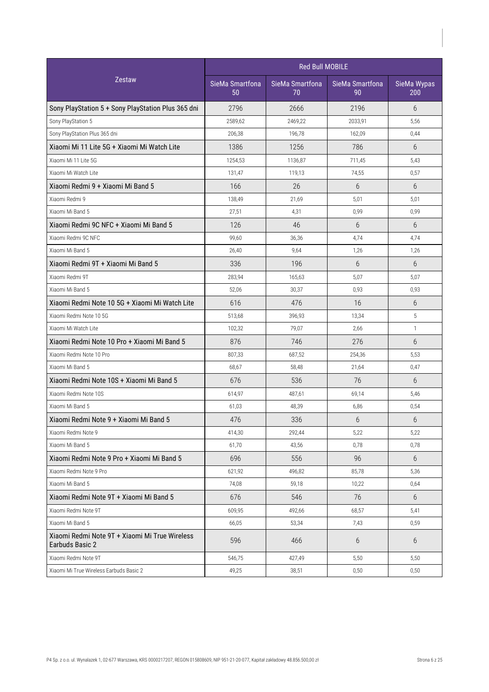|                                                                   | <b>Red Bull MOBILE</b> |                       |                       |                    |
|-------------------------------------------------------------------|------------------------|-----------------------|-----------------------|--------------------|
| <b>Zestaw</b>                                                     | SieMa Smartfona<br>50  | SieMa Smartfona<br>70 | SieMa Smartfona<br>90 | SieMa Wypas<br>200 |
| Sony PlayStation 5 + Sony PlayStation Plus 365 dni                | 2796                   | 2666                  | 2196                  | 6                  |
| Sony PlayStation 5                                                | 2589,62                | 2469,22               | 2033,91               | 5,56               |
| Sony PlayStation Plus 365 dni                                     | 206,38                 | 196,78                | 162,09                | 0,44               |
| Xiaomi Mi 11 Lite 5G + Xiaomi Mi Watch Lite                       | 1386                   | 1256                  | 786                   | 6                  |
| Xiaomi Mi 11 Lite 5G                                              | 1254,53                | 1136,87               | 711,45                | 5,43               |
| Xiaomi Mi Watch Lite                                              | 131,47                 | 119,13                | 74,55                 | 0,57               |
| Xiaomi Redmi 9 + Xiaomi Mi Band 5                                 | 166                    | 26                    | 6                     | 6                  |
| Xiaomi Redmi 9                                                    | 138,49                 | 21,69                 | 5,01                  | 5,01               |
| Xiaomi Mi Band 5                                                  | 27,51                  | 4,31                  | 0,99                  | 0,99               |
| Xiaomi Redmi 9C NFC + Xiaomi Mi Band 5                            | 126                    | 46                    | 6                     | 6                  |
| Xiaomi Redmi 9C NFC                                               | 99,60                  | 36,36                 | 4,74                  | 4,74               |
| Xiaomi Mi Band 5                                                  | 26,40                  | 9,64                  | 1,26                  | 1,26               |
| Xiaomi Redmi 9T + Xiaomi Mi Band 5                                | 336                    | 196                   | 6                     | 6                  |
| Xiaomi Redmi 9T                                                   | 283,94                 | 165,63                | 5,07                  | 5,07               |
| Xiaomi Mi Band 5                                                  | 52,06                  | 30,37                 | 0,93                  | 0,93               |
| Xiaomi Redmi Note 10 5G + Xiaomi Mi Watch Lite                    | 616                    | 476                   | 16                    | 6                  |
| Xiaomi Redmi Note 10 5G                                           | 513,68                 | 396,93                | 13,34                 | 5                  |
| Xiaomi Mi Watch Lite                                              | 102,32                 | 79,07                 | 2,66                  | $\mathbf{1}$       |
| Xiaomi Redmi Note 10 Pro + Xiaomi Mi Band 5                       | 876                    | 746                   | 276                   | 6                  |
| Xiaomi Redmi Note 10 Pro                                          | 807,33                 | 687,52                | 254,36                | 5,53               |
| Xiaomi Mi Band 5                                                  | 68,67                  | 58,48                 | 21,64                 | 0,47               |
| Xiaomi Redmi Note 10S + Xiaomi Mi Band 5                          | 676                    | 536                   | 76                    | 6                  |
| Xiaomi Redmi Note 10S                                             | 614,97                 | 487,61                | 69,14                 | 5,46               |
| Xiaomi Mi Band 5                                                  | 61,03                  | 48,39                 | 6,86                  | 0,54               |
| Xiaomi Redmi Note 9 + Xiaomi Mi Band 5                            | 476                    | 336                   | 6                     | 6                  |
| Xiaomi Redmi Note 9                                               | 414,30                 | 292,44                | 5,22                  | 5,22               |
| Xiaomi Mi Band 5                                                  | 61,70                  | 43,56                 | 0,78                  | 0,78               |
| Xiaomi Redmi Note 9 Pro + Xiaomi Mi Band 5                        | 696                    | 556                   | 96                    | 6                  |
| Xiaomi Redmi Note 9 Pro                                           | 621,92                 | 496,82                | 85,78                 | 5,36               |
| Xiaomi Mi Band 5                                                  | 74,08                  | 59,18                 | 10,22                 | 0,64               |
| Xiaomi Redmi Note 9T + Xiaomi Mi Band 5                           | 676                    | 546                   | 76                    | 6                  |
| Xiaomi Redmi Note 9T                                              | 609,95                 | 492,66                | 68,57                 | 5,41               |
| Xiaomi Mi Band 5                                                  | 66,05                  | 53,34                 | 7,43                  | 0,59               |
| Xiaomi Redmi Note 9T + Xiaomi Mi True Wireless<br>Earbuds Basic 2 | 596                    | 466                   | 6                     | 6                  |
| Xiaomi Redmi Note 9T                                              | 546,75                 | 427,49                | 5,50                  | 5,50               |
| Xiaomi Mi True Wireless Earbuds Basic 2                           | 49,25                  | 38,51                 | 0,50                  | 0,50               |
|                                                                   |                        |                       |                       |                    |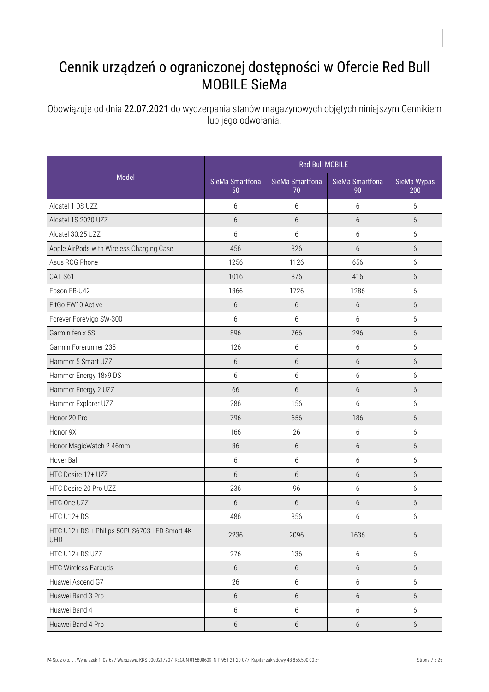## Cennik urządzeń o ograniczonej dostępności w Ofercie Red Bull MOBILE SieMa

Obowiązuje od dnia 22.07.2021 do wyczerpania stanów magazynowych objętych niniejszym Cennikiem lub jego odwołania.

|                                                            | <b>Red Bull MOBILE</b> |                       |                       |                    |
|------------------------------------------------------------|------------------------|-----------------------|-----------------------|--------------------|
| Model                                                      | SieMa Smartfona<br>50  | SieMa Smartfona<br>70 | SieMa Smartfona<br>90 | SieMa Wypas<br>200 |
| Alcatel 1 DS UZZ                                           | 6                      | 6                     | 6                     | 6                  |
| Alcatel 1S 2020 UZZ                                        | $6\phantom{.}6$        | $6\,$                 | $6\,$                 | 6                  |
| Alcatel 30.25 UZZ                                          | 6                      | 6                     | $6\,$                 | 6                  |
| Apple AirPods with Wireless Charging Case                  | 456                    | 326                   | 6                     | 6                  |
| Asus ROG Phone                                             | 1256                   | 1126                  | 656                   | 6                  |
| CAT S61                                                    | 1016                   | 876                   | 416                   | 6                  |
| Epson EB-U42                                               | 1866                   | 1726                  | 1286                  | 6                  |
| FitGo FW10 Active                                          | $6\,$                  | $6\,$                 | $6\,$                 | 6                  |
| Forever ForeVigo SW-300                                    | 6                      | 6                     | 6                     | 6                  |
| Garmin fenix 5S                                            | 896                    | 766                   | 296                   | 6                  |
| Garmin Forerunner 235                                      | 126                    | 6                     | 6                     | 6                  |
| Hammer 5 Smart UZZ                                         | 6                      | $6\,$                 | 6                     | 6                  |
| Hammer Energy 18x9 DS                                      | 6                      | 6                     | 6                     | 6                  |
| Hammer Energy 2 UZZ                                        | 66                     | 6                     | 6                     | 6                  |
| Hammer Explorer UZZ                                        | 286                    | 156                   | 6                     | 6                  |
| Honor 20 Pro                                               | 796                    | 656                   | 186                   | 6                  |
| Honor 9X                                                   | 166                    | 26                    | 6                     | 6                  |
| Honor MagicWatch 2 46mm                                    | 86                     | $6\,$                 | $6\,$                 | 6                  |
| Hover Ball                                                 | $6\,$                  | 6                     | 6                     | 6                  |
| HTC Desire 12+ UZZ                                         | 6                      | 6                     | 6                     | 6                  |
| HTC Desire 20 Pro UZZ                                      | 236                    | 96                    | 6                     | 6                  |
| HTC One UZZ                                                | 6                      | 6                     | 6                     | 6                  |
| HTC U12+DS                                                 | 486                    | 356                   | 6                     | 6                  |
| HTC U12+ DS + Philips 50PUS6703 LED Smart 4K<br><b>UHD</b> | 2236                   | 2096                  | 1636                  | 6                  |
| HTC U12+ DS UZZ                                            | 276                    | 136                   | 6                     | 6                  |
| <b>HTC Wireless Earbuds</b>                                | $6\,$                  | 6                     | $6\,$                 | 6                  |
| Huawei Ascend G7                                           | 26                     | $6\,$                 | 6                     | 6                  |
| Huawei Band 3 Pro                                          | $6\,$                  | $6\,$                 | $6\,$                 | $6\,$              |
| Huawei Band 4                                              | $6\,$                  | 6                     | $6\,$                 | 6                  |
| Huawei Band 4 Pro                                          | $6\,$                  | $6\,$                 | $6\,$                 | $6\,$              |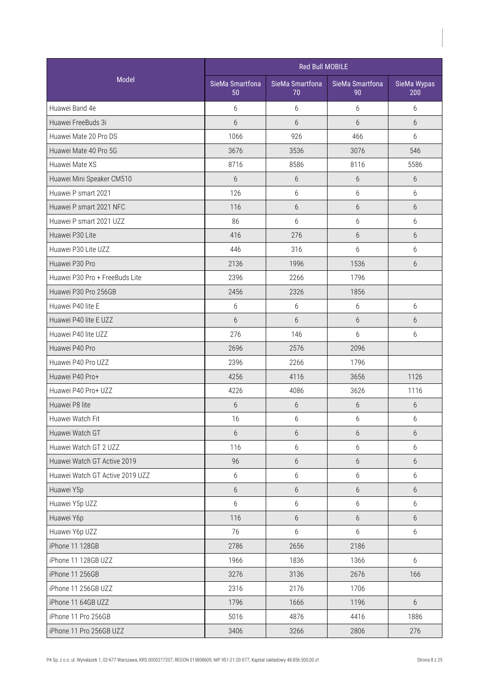|                                 |                       | <b>Red Bull MOBILE</b> |                       |                    |
|---------------------------------|-----------------------|------------------------|-----------------------|--------------------|
| Model                           | SieMa Smartfona<br>50 | SieMa Smartfona<br>70  | SieMa Smartfona<br>90 | SieMa Wypas<br>200 |
| Huawei Band 4e                  | 6                     | 6                      | 6                     | 6                  |
| Huawei FreeBuds 3i              | 6                     | $6\overline{6}$        | 6                     | 6                  |
| Huawei Mate 20 Pro DS           | 1066                  | 926                    | 466                   | 6                  |
| Huawei Mate 40 Pro 5G           | 3676                  | 3536                   | 3076                  | 546                |
| Huawei Mate XS                  | 8716                  | 8586                   | 8116                  | 5586               |
| Huawei Mini Speaker CM510       | $6\overline{6}$       | 6                      | 6                     | $6\overline{6}$    |
| Huawei P smart 2021             | 126                   | 6                      | 6                     | 6                  |
| Huawei P smart 2021 NFC         | 116                   | 6                      | $6\,$                 | 6                  |
| Huawei P smart 2021 UZZ         | 86                    | 6                      | 6                     | 6                  |
| Huawei P30 Lite                 | 416                   | 276                    | 6                     | 6                  |
| Huawei P30 Lite UZZ             | 446                   | 316                    | 6                     | 6                  |
| Huawei P30 Pro                  | 2136                  | 1996                   | 1536                  | $6\overline{6}$    |
| Huawei P30 Pro + FreeBuds Lite  | 2396                  | 2266                   | 1796                  |                    |
| Huawei P30 Pro 256GB            | 2456                  | 2326                   | 1856                  |                    |
| Huawei P40 lite E               | 6                     | 6                      | 6                     | 6                  |
| Huawei P40 lite E UZZ           | 6                     | 6                      | 6                     | 6                  |
| Huawei P40 lite UZZ             | 276                   | 146                    | 6                     | 6                  |
| Huawei P40 Pro                  | 2696                  | 2576                   | 2096                  |                    |
| Huawei P40 Pro UZZ              | 2396                  | 2266                   | 1796                  |                    |
| Huawei P40 Pro+                 | 4256                  | 4116                   | 3656                  | 1126               |
| Huawei P40 Pro+ UZZ             | 4226                  | 4086                   | 3626                  | 1116               |
| Huawei P8 lite                  | 6                     | 6                      | 6                     | 6                  |
| Huawei Watch Fit                | 16                    | 6                      | $6\,$                 | 6                  |
| Huawei Watch GT                 | 6                     | 6                      | 6                     | $6\,$              |
| Huawei Watch GT 2 UZZ           | 116                   | 6                      | 6                     | 6                  |
| Huawei Watch GT Active 2019     | 96                    | $6\,$                  | $6\,$                 | 6                  |
| Huawei Watch GT Active 2019 UZZ | $6\,$                 | 6                      | 6                     | 6                  |
| Huawei Y5p                      | $6\,$                 | $6\,$                  | $6\,$                 | 6                  |
| Huawei Y5p UZZ                  | $6\,$                 | 6                      | 6                     | 6                  |
| Huawei Y6p                      | 116                   | $6\phantom{.}$         | $6\,$                 | 6                  |
| Huawei Y6p UZZ                  | 76                    | 6                      | 6                     | 6                  |
| iPhone 11 128GB                 | 2786                  | 2656                   | 2186                  |                    |
| iPhone 11 128GB UZZ             | 1966                  | 1836                   | 1366                  | 6                  |
| iPhone 11 256GB                 | 3276                  | 3136                   | 2676                  | 166                |
| iPhone 11 256GB UZZ             | 2316                  | 2176                   | 1706                  |                    |
| iPhone 11 64GB UZZ              | 1796                  | 1666                   | 1196                  | $6\phantom{.}6$    |
| iPhone 11 Pro 256GB             | 5016                  | 4876                   | 4416                  | 1886               |
| iPhone 11 Pro 256GB UZZ         | 3406                  | 3266                   | 2806                  | 276                |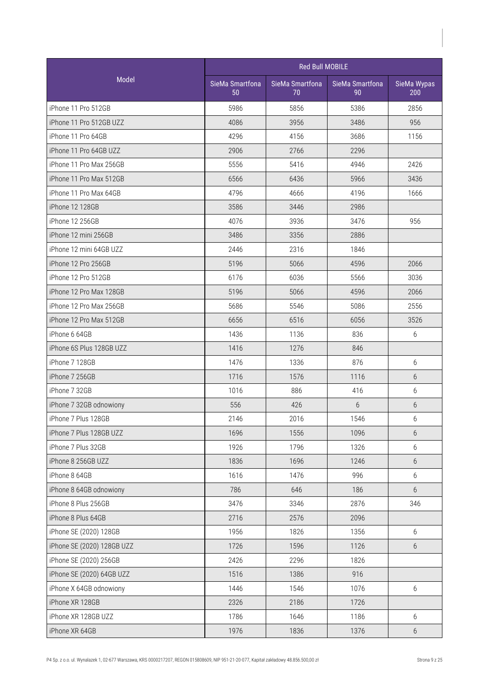|                            |                       | <b>Red Bull MOBILE</b> |                       |                    |
|----------------------------|-----------------------|------------------------|-----------------------|--------------------|
| <b>Model</b>               | SieMa Smartfona<br>50 | SieMa Smartfona<br>70  | SieMa Smartfona<br>90 | SieMa Wypas<br>200 |
| iPhone 11 Pro 512GB        | 5986                  | 5856                   | 5386                  | 2856               |
| iPhone 11 Pro 512GB UZZ    | 4086                  | 3956                   | 3486                  | 956                |
| iPhone 11 Pro 64GB         | 4296                  | 4156                   | 3686                  | 1156               |
| iPhone 11 Pro 64GB UZZ     | 2906                  | 2766                   | 2296                  |                    |
| iPhone 11 Pro Max 256GB    | 5556                  | 5416                   | 4946                  | 2426               |
| iPhone 11 Pro Max 512GB    | 6566                  | 6436                   | 5966                  | 3436               |
| iPhone 11 Pro Max 64GB     | 4796                  | 4666                   | 4196                  | 1666               |
| iPhone 12 128GB            | 3586                  | 3446                   | 2986                  |                    |
| iPhone 12 256GB            | 4076                  | 3936                   | 3476                  | 956                |
| iPhone 12 mini 256GB       | 3486                  | 3356                   | 2886                  |                    |
| iPhone 12 mini 64GB UZZ    | 2446                  | 2316                   | 1846                  |                    |
| iPhone 12 Pro 256GB        | 5196                  | 5066                   | 4596                  | 2066               |
| iPhone 12 Pro 512GB        | 6176                  | 6036                   | 5566                  | 3036               |
| iPhone 12 Pro Max 128GB    | 5196                  | 5066                   | 4596                  | 2066               |
| iPhone 12 Pro Max 256GB    | 5686                  | 5546                   | 5086                  | 2556               |
| iPhone 12 Pro Max 512GB    | 6656                  | 6516                   | 6056                  | 3526               |
| iPhone 6 64GB              | 1436                  | 1136                   | 836                   | 6                  |
| iPhone 6S Plus 128GB UZZ   | 1416                  | 1276                   | 846                   |                    |
| iPhone 7 128GB             | 1476                  | 1336                   | 876                   | 6                  |
| iPhone 7 256GB             | 1716                  | 1576                   | 1116                  | 6                  |
| iPhone 7 32GB              | 1016                  | 886                    | 416                   | 6                  |
| iPhone 7 32GB odnowiony    | 556                   | 426                    | 6                     | 6                  |
| iPhone 7 Plus 128GB        | 2146                  | 2016                   | 1546                  | 6                  |
| iPhone 7 Plus 128GB UZZ    | 1696                  | 1556                   | 1096                  | 6                  |
| iPhone 7 Plus 32GB         | 1926                  | 1796                   | 1326                  | 6                  |
| iPhone 8 256GB UZZ         | 1836                  | 1696                   | 1246                  | 6                  |
| iPhone 8 64GB              | 1616                  | 1476                   | 996                   | 6                  |
| iPhone 8 64GB odnowiony    | 786                   | 646                    | 186                   | 6                  |
| iPhone 8 Plus 256GB        | 3476                  | 3346                   | 2876                  | 346                |
| iPhone 8 Plus 64GB         | 2716                  | 2576                   | 2096                  |                    |
| iPhone SE (2020) 128GB     | 1956                  | 1826                   | 1356                  | 6                  |
| iPhone SE (2020) 128GB UZZ | 1726                  | 1596                   | 1126                  | 6                  |
| iPhone SE (2020) 256GB     | 2426                  | 2296                   | 1826                  |                    |
| iPhone SE (2020) 64GB UZZ  | 1516                  | 1386                   | 916                   |                    |
| iPhone X 64GB odnowiony    | 1446                  | 1546                   | 1076                  | 6                  |
| iPhone XR 128GB            | 2326                  | 2186                   | 1726                  |                    |
| iPhone XR 128GB UZZ        | 1786                  | 1646                   | 1186                  | 6                  |
| iPhone XR 64GB             | 1976                  | 1836                   | 1376                  | $6\,$              |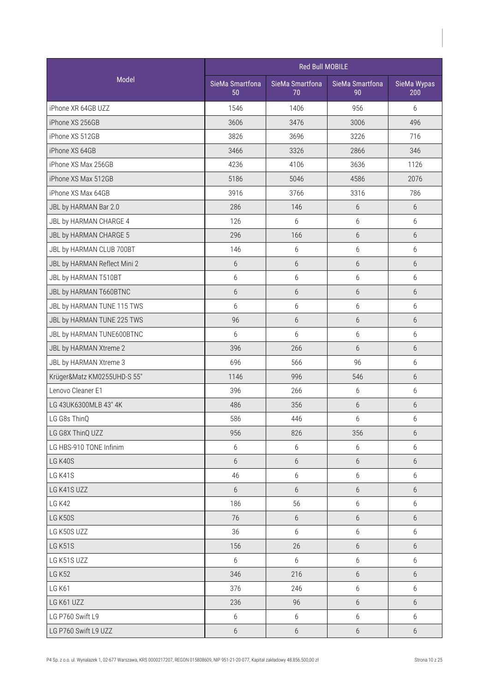|                              |                       | <b>Red Bull MOBILE</b> |                       |                    |  |  |
|------------------------------|-----------------------|------------------------|-----------------------|--------------------|--|--|
| Model                        | SieMa Smartfona<br>50 | SieMa Smartfona<br>70  | SieMa Smartfona<br>90 | SieMa Wypas<br>200 |  |  |
| iPhone XR 64GB UZZ           | 1546                  | 1406                   | 956                   | 6                  |  |  |
| iPhone XS 256GB              | 3606                  | 3476                   | 3006                  | 496                |  |  |
| iPhone XS 512GB              | 3826                  | 3696                   | 3226                  | 716                |  |  |
| iPhone XS 64GB               | 3466                  | 3326                   | 2866                  | 346                |  |  |
| iPhone XS Max 256GB          | 4236                  | 4106                   | 3636                  | 1126               |  |  |
| iPhone XS Max 512GB          | 5186                  | 5046                   | 4586                  | 2076               |  |  |
| iPhone XS Max 64GB           | 3916                  | 3766                   | 3316                  | 786                |  |  |
| JBL by HARMAN Bar 2.0        | 286                   | 146                    | $6\,$                 | $6\,$              |  |  |
| JBL by HARMAN CHARGE 4       | 126                   | 6                      | 6                     | 6                  |  |  |
| JBL by HARMAN CHARGE 5       | 296                   | 166                    | $6\,$                 | 6                  |  |  |
| JBL by HARMAN CLUB 700BT     | 146                   | $6\,$                  | 6                     | 6                  |  |  |
| JBL by HARMAN Reflect Mini 2 | $6\phantom{.}6$       | $6\,$                  | 6                     | 6                  |  |  |
| JBL by HARMAN T510BT         | 6                     | 6                      | 6                     | 6                  |  |  |
| JBL by HARMAN T660BTNC       | 6                     | $6\,$                  | $6\,$                 | 6                  |  |  |
| JBL by HARMAN TUNE 115 TWS   | 6                     | 6                      | $6\,$                 | $6\,$              |  |  |
| JBL by HARMAN TUNE 225 TWS   | 96                    | $6\,$                  | $6\,$                 | $6\,$              |  |  |
| JBL by HARMAN TUNE600BTNC    | 6                     | 6                      | 6                     | 6                  |  |  |
| JBL by HARMAN Xtreme 2       | 396                   | 266                    | 6                     | 6                  |  |  |
| JBL by HARMAN Xtreme 3       | 696                   | 566                    | 96                    | 6                  |  |  |
| Krüger&Matz KM0255UHD-S 55"  | 1146                  | 996                    | 546                   | 6                  |  |  |
| Lenovo Cleaner E1            | 396                   | 266                    | 6                     | 6                  |  |  |
| LG 43UK6300MLB 43" 4K        | 486                   | 356                    | $6\,$                 | $6\,$              |  |  |
| LG G8s ThinQ                 | 586                   | 446                    | $6\,$                 | $6\,$              |  |  |
| LG G8X ThinQ UZZ             | 956                   | 826                    | 356                   | $6\,$              |  |  |
| LG HBS-910 TONE Infinim      | 6                     | 6                      | 6                     | $6\,$              |  |  |
| LG K40S                      | $6\phantom{.}6$       | $6\,$                  | $6\,$                 | 6                  |  |  |
| LG K41S                      | 46                    | $\boldsymbol{6}$       | 6                     | 6                  |  |  |
| LG K41S UZZ                  | $6\phantom{.}6$       | 6                      | 6                     | 6                  |  |  |
| <b>LG K42</b>                | 186                   | 56                     | 6                     | $6\,$              |  |  |
| <b>LG K50S</b>               | 76                    | 6                      | $6\,$                 | 6                  |  |  |
| LG K50S UZZ                  | 36                    | 6                      | 6                     | 6                  |  |  |
| LG K51S                      | 156                   | 26                     | $6\,$                 | 6                  |  |  |
| LG K51S UZZ                  | 6                     | 6                      | 6                     | 6                  |  |  |
| <b>LG K52</b>                | 346                   | 216                    | $6\,$                 | 6                  |  |  |
| <b>LG K61</b>                | 376                   | 246                    | 6                     | 6                  |  |  |
| LG K61 UZZ                   | 236                   | 96                     | $6\,$                 | 6                  |  |  |
| LG P760 Swift L9             | $6\,$                 | $6\,$                  | 6                     | 6                  |  |  |
| LG P760 Swift L9 UZZ         | $6\,$                 | $6\,$                  | $6\,$                 | $6\,$              |  |  |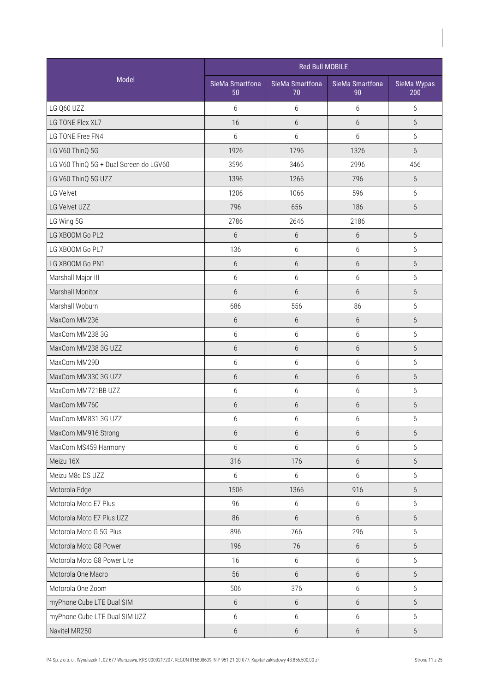|                                        |                       | Red Bull MOBILE       |                       |                    |
|----------------------------------------|-----------------------|-----------------------|-----------------------|--------------------|
| Model                                  | SieMa Smartfona<br>50 | SieMa Smartfona<br>70 | SieMa Smartfona<br>90 | SieMa Wypas<br>200 |
| LG Q60 UZZ                             | 6                     | 6                     | 6                     | 6                  |
| LG TONE Flex XL7                       | 16                    | $6\,$                 | 6                     | 6                  |
| LG TONE Free FN4                       | $6\,$                 | $6\,$                 | 6                     | 6                  |
| LG V60 ThinQ 5G                        | 1926                  | 1796                  | 1326                  | $6\overline{6}$    |
| LG V60 ThinQ 5G + Dual Screen do LGV60 | 3596                  | 3466                  | 2996                  | 466                |
| LG V60 ThinQ 5G UZZ                    | 1396                  | 1266                  | 796                   | 6                  |
| LG Velvet                              | 1206                  | 1066                  | 596                   | 6                  |
| LG Velvet UZZ                          | 796                   | 656                   | 186                   | 6                  |
| LG Wing 5G                             | 2786                  | 2646                  | 2186                  |                    |
| LG XBOOM Go PL2                        | 6                     | $6\,$                 | 6                     | 6                  |
| LG XBOOM Go PL7                        | 136                   | 6                     | 6                     | 6                  |
| LG XBOOM Go PN1                        | 6                     | $6\,$                 | 6                     | 6                  |
| Marshall Major III                     | $6\,$                 | $6\,$                 | 6                     | 6                  |
| Marshall Monitor                       | $6\phantom{.}6$       | $6\,$                 | $6\,$                 | $6\,$              |
| Marshall Woburn                        | 686                   | 556                   | 86                    | 6                  |
| MaxCom MM236                           | $6\,$                 | $6\,$                 | $6\,$                 | 6                  |
| MaxCom MM238 3G                        | $6\,$                 | $6\,$                 | 6                     | 6                  |
| MaxCom MM238 3G UZZ                    | $6\phantom{.}6$       | $6\,$                 | 6                     | 6                  |
| MaxCom MM29D                           | 6                     | 6                     | 6                     | 6                  |
| MaxCom MM330 3G UZZ                    | 6                     | $6\,$                 | $6\,$                 | 6                  |
| MaxCom MM721BB UZZ                     | $6\,$                 | $6\,$                 | 6                     | $6\,$              |
| MaxCom MM760                           | $6\,$                 | $6\,$                 | $6\,$                 | $6\,$              |
| MaxCom MM831 3G UZZ                    | 6                     | $6\,$                 | $6\,$                 | 6                  |
| MaxCom MM916 Strong                    | $6\,$                 | 6                     | 6                     | $6\,$              |
| MaxCom MS459 Harmony                   | 6                     | 6                     | 6                     | 6                  |
| Meizu 16X                              | 316                   | 176                   | 6                     | 6                  |
| Meizu M8c DS UZZ                       | 6                     | 6                     | 6                     | 6                  |
| Motorola Edge                          | 1506                  | 1366                  | 916                   | 6                  |
| Motorola Moto E7 Plus                  | 96                    | 6                     | $6\,$                 | 6                  |
| Motorola Moto E7 Plus UZZ              | 86                    | 6                     | 6                     | 6                  |
| Motorola Moto G 5G Plus                | 896                   | 766                   | 296                   | 6                  |
| Motorola Moto G8 Power                 | 196                   | 76                    | $6\phantom{.}6$       | 6                  |
| Motorola Moto G8 Power Lite            | 16                    | 6                     | 6                     | 6                  |
| Motorola One Macro                     | 56                    | 6                     | 6                     | 6                  |
| Motorola One Zoom                      | 506                   | 376                   | 6                     | 6                  |
| myPhone Cube LTE Dual SIM              | $6\,$                 | $6\,$                 | $6\phantom{.}6$       | 6                  |
| myPhone Cube LTE Dual SIM UZZ          | $6\,$                 | 6                     | 6                     | 6                  |
| Navitel MR250                          | $6\,$                 | $6\,$                 | $6\,$                 | 6                  |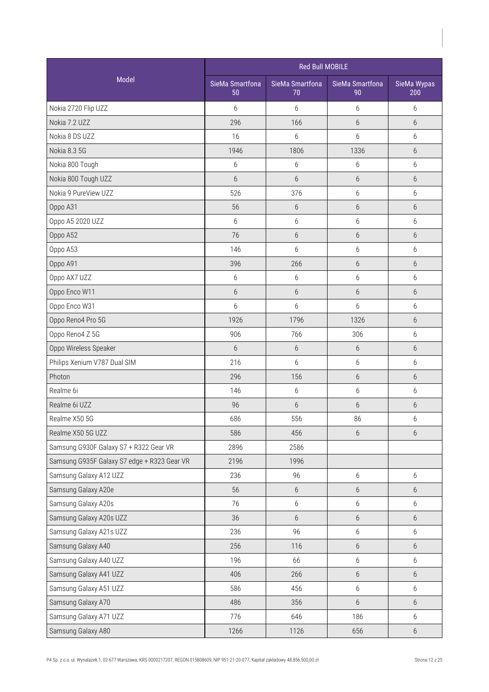|                                             |                       | <b>Red Bull MOBILE</b> |                       |                    |  |
|---------------------------------------------|-----------------------|------------------------|-----------------------|--------------------|--|
| Model                                       | SieMa Smartfona<br>50 | SieMa Smartfona<br>70  | SieMa Smartfona<br>90 | SieMa Wypas<br>200 |  |
| Nokia 2720 Flip UZZ                         | 6                     | 6                      | 6                     | 6                  |  |
| Nokia 7.2 UZZ                               | 296                   | 166                    | 6                     | 6                  |  |
| Nokia 8 DS UZZ                              | 16                    | 6                      | 6                     | 6                  |  |
| Nokia 8.3 5G                                | 1946                  | 1806                   | 1336                  | 6                  |  |
| Nokia 800 Tough                             | 6                     | 6                      | 6                     | 6                  |  |
| Nokia 800 Tough UZZ                         | $6\phantom{.}6$       | $6\,$                  | 6                     | 6                  |  |
| Nokia 9 PureView UZZ                        | 526                   | 376                    | 6                     | 6                  |  |
| Oppo A31                                    | 56                    | 6                      | $6\,$                 | 6                  |  |
| Oppo A5 2020 UZZ                            | 6                     | $6\,$                  | 6                     | 6                  |  |
| Oppo A52                                    | 76                    | $6\,$                  | 6                     | 6                  |  |
| Oppo A53                                    | 146                   | 6                      | 6                     | 6                  |  |
| Oppo A91                                    | 396                   | 266                    | 6                     | 6                  |  |
| Oppo AX7 UZZ                                | 6                     | 6                      | 6                     | 6                  |  |
| Oppo Enco W11                               | $6\,$                 | $6\,$                  | $6\,$                 | 6                  |  |
| Oppo Enco W31                               | 6                     | $6\,$                  | $6\,$                 | $6\,$              |  |
| Oppo Reno4 Pro 5G                           | 1926                  | 1796                   | 1326                  | 6                  |  |
| Oppo Reno4 Z 5G                             | 906                   | 766                    | 306                   | 6                  |  |
| Oppo Wireless Speaker                       | 6                     | $6\,$                  | 6                     | 6                  |  |
| Philips Xenium V787 Dual SIM                | 216                   | 6                      | 6                     | 6                  |  |
| Photon                                      | 296                   | 156                    | 6                     | 6                  |  |
| Realme 6i                                   | 146                   | 6                      | 6                     | 6                  |  |
| Realme 6i UZZ                               | 96                    | $6\,$                  | $6\,$                 | $6\,$              |  |
| Realme X50 5G                               | 686                   | 556                    | 86                    | 6                  |  |
| Realme X50 5G UZZ                           | 586                   | 456                    | 6                     | $6\,$              |  |
| Samsung G930F Galaxy S7 + R322 Gear VR      | 2896                  | 2586                   |                       |                    |  |
| Samsung G935F Galaxy S7 edge + R323 Gear VR | 2196                  | 1996                   |                       |                    |  |
| Samsung Galaxy A12 UZZ                      | 236                   | 96                     | 6                     | 6                  |  |
| Samsung Galaxy A20e                         | 56                    | $6\,$                  | $6\,$                 | 6                  |  |
| Samsung Galaxy A20s                         | 76                    | $6\,$                  | 6                     | 6                  |  |
| Samsung Galaxy A20s UZZ                     | 36                    | $6\,$                  | $6\,$                 | 6                  |  |
| Samsung Galaxy A21s UZZ                     | 236                   | 96                     | 6                     | 6                  |  |
| Samsung Galaxy A40                          | 256                   | 116                    | $6\,$                 | 6                  |  |
| Samsung Galaxy A40 UZZ                      | 196                   | 66                     | 6                     | 6                  |  |
| Samsung Galaxy A41 UZZ                      | 406                   | 266                    | $6\phantom{.}6$       | 6                  |  |
| Samsung Galaxy A51 UZZ                      | 586                   | 456                    | 6                     | 6                  |  |
| Samsung Galaxy A70                          | 486                   | 356                    | $6\,$                 | 6                  |  |
| Samsung Galaxy A71 UZZ                      | 776                   | 646                    | 186                   | 6                  |  |
| Samsung Galaxy A80                          | 1266                  | 1126                   | 656                   | $6\,$              |  |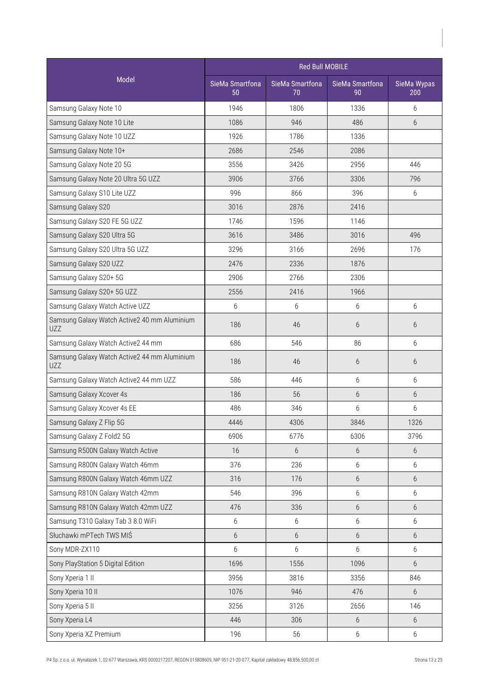|                                                            |                       |                       |                       | Red Bull MOBILE    |  |
|------------------------------------------------------------|-----------------------|-----------------------|-----------------------|--------------------|--|
| Model                                                      | SieMa Smartfona<br>50 | SieMa Smartfona<br>70 | SieMa Smartfona<br>90 | SieMa Wypas<br>200 |  |
| Samsung Galaxy Note 10                                     | 1946                  | 1806                  | 1336                  | 6                  |  |
| Samsung Galaxy Note 10 Lite                                | 1086                  | 946                   | 486                   | 6                  |  |
| Samsung Galaxy Note 10 UZZ                                 | 1926                  | 1786                  | 1336                  |                    |  |
| Samsung Galaxy Note 10+                                    | 2686                  | 2546                  | 2086                  |                    |  |
| Samsung Galaxy Note 20 5G                                  | 3556                  | 3426                  | 2956                  | 446                |  |
| Samsung Galaxy Note 20 Ultra 5G UZZ                        | 3906                  | 3766                  | 3306                  | 796                |  |
| Samsung Galaxy S10 Lite UZZ                                | 996                   | 866                   | 396                   | 6                  |  |
| Samsung Galaxy S20                                         | 3016                  | 2876                  | 2416                  |                    |  |
| Samsung Galaxy S20 FE 5G UZZ                               | 1746                  | 1596                  | 1146                  |                    |  |
| Samsung Galaxy S20 Ultra 5G                                | 3616                  | 3486                  | 3016                  | 496                |  |
| Samsung Galaxy S20 Ultra 5G UZZ                            | 3296                  | 3166                  | 2696                  | 176                |  |
| Samsung Galaxy S20 UZZ                                     | 2476                  | 2336                  | 1876                  |                    |  |
| Samsung Galaxy S20+ 5G                                     | 2906                  | 2766                  | 2306                  |                    |  |
| Samsung Galaxy S20+ 5G UZZ                                 | 2556                  | 2416                  | 1966                  |                    |  |
| Samsung Galaxy Watch Active UZZ                            | 6                     | 6                     | 6                     | 6                  |  |
| Samsung Galaxy Watch Active2 40 mm Aluminium<br><b>UZZ</b> | 186                   | 46                    | 6                     | 6                  |  |
| Samsung Galaxy Watch Active2 44 mm                         | 686                   | 546                   | 86                    | 6                  |  |
| Samsung Galaxy Watch Active2 44 mm Aluminium<br><b>UZZ</b> | 186                   | 46                    | 6                     | 6                  |  |
| Samsung Galaxy Watch Active2 44 mm UZZ                     | 586                   | 446                   | 6                     | 6                  |  |
| Samsung Galaxy Xcover 4s                                   | 186                   | 56                    | $6\,$                 | 6                  |  |
| Samsung Galaxy Xcover 4s EE                                | 486                   | 346                   | 6                     | 6                  |  |
| Samsung Galaxy Z Flip 5G                                   | 4446                  | 4306                  | 3846                  | 1326               |  |
| Samsung Galaxy Z Fold2 5G                                  | 6906                  | 6776                  | 6306                  | 3796               |  |
| Samsung R500N Galaxy Watch Active                          | 16                    | 6                     | 6                     | 6                  |  |
| Samsung R800N Galaxy Watch 46mm                            | 376                   | 236                   | $6\,$                 | 6                  |  |
| Samsung R800N Galaxy Watch 46mm UZZ                        | 316                   | 176                   | $6\,$                 | 6                  |  |
| Samsung R810N Galaxy Watch 42mm                            | 546                   | 396                   | $6\,$                 | 6                  |  |
| Samsung R810N Galaxy Watch 42mm UZZ                        | 476                   | 336                   | $6\,$                 | 6                  |  |
| Samsung T310 Galaxy Tab 3 8.0 WiFi                         | $6\,$                 | 6                     | 6                     | 6                  |  |
| Słuchawki mPTech TWS MIŚ                                   | $6\,$                 | 6                     | $6\,$                 | 6                  |  |
| Sony MDR-ZX110                                             | $6\,$                 | 6                     | 6                     | 6                  |  |
| Sony PlayStation 5 Digital Edition                         | 1696                  | 1556                  | 1096                  | 6                  |  |
| Sony Xperia 1 II                                           | 3956                  | 3816                  | 3356                  | 846                |  |
| Sony Xperia 10 II                                          | 1076                  | 946                   | 476                   | 6                  |  |
| Sony Xperia 5 II                                           | 3256                  | 3126                  | 2656                  | 146                |  |
| Sony Xperia L4                                             | 446                   | 306                   | $6\,$                 | $6\,$              |  |
| Sony Xperia XZ Premium                                     | 196                   | 56                    | 6                     | 6                  |  |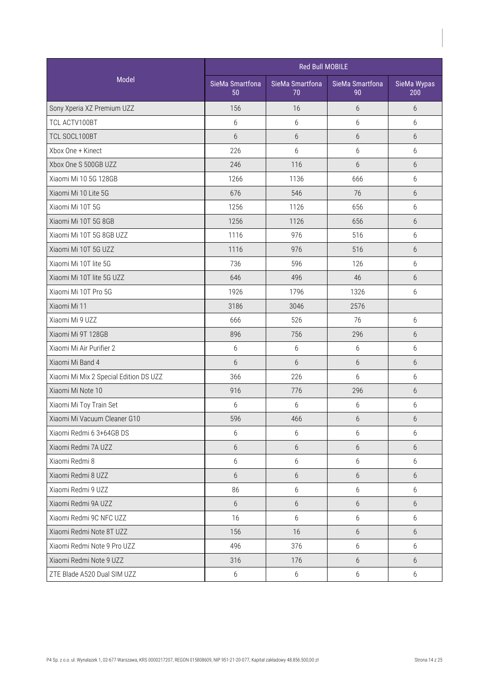|                                        | <b>Red Bull MOBILE</b> |                       |                       |                    |  |
|----------------------------------------|------------------------|-----------------------|-----------------------|--------------------|--|
| Model                                  | SieMa Smartfona<br>50  | SieMa Smartfona<br>70 | SieMa Smartfona<br>90 | SieMa Wypas<br>200 |  |
| Sony Xperia XZ Premium UZZ             | 156                    | 16                    | 6                     | 6                  |  |
| TCL ACTV100BT                          | 6                      | $6\,$                 | 6                     | 6                  |  |
| TCL SOCL100BT                          | $6\phantom{.}6$        | 6                     | 6                     | 6                  |  |
| Xbox One + Kinect                      | 226                    | 6                     | $6\,$                 | 6                  |  |
| Xbox One S 500GB UZZ                   | 246                    | 116                   | 6                     | 6                  |  |
| Xiaomi Mi 10 5G 128GB                  | 1266                   | 1136                  | 666                   | 6                  |  |
| Xiaomi Mi 10 Lite 5G                   | 676                    | 546                   | 76                    | 6                  |  |
| Xiaomi Mi 10T 5G                       | 1256                   | 1126                  | 656                   | 6                  |  |
| Xiaomi Mi 10T 5G 8GB                   | 1256                   | 1126                  | 656                   | 6                  |  |
| Xiaomi Mi 10T 5G 8GB UZZ               | 1116                   | 976                   | 516                   | 6                  |  |
| Xiaomi Mi 10T 5G UZZ                   | 1116                   | 976                   | 516                   | 6                  |  |
| Xiaomi Mi 10T lite 5G                  | 736                    | 596                   | 126                   | 6                  |  |
| Xiaomi Mi 10T lite 5G UZZ              | 646                    | 496                   | 46                    | 6                  |  |
| Xiaomi Mi 10T Pro 5G                   | 1926                   | 1796                  | 1326                  | 6                  |  |
| Xiaomi Mi 11                           | 3186                   | 3046                  | 2576                  |                    |  |
| Xiaomi Mi 9 UZZ                        | 666                    | 526                   | 76                    | 6                  |  |
| Xiaomi Mi 9T 128GB                     | 896                    | 756                   | 296                   | 6                  |  |
| Xiaomi Mi Air Purifier 2               | 6                      | $6\,$                 | 6                     | 6                  |  |
| Xiaomi Mi Band 4                       | $6\phantom{.}6$        | 6                     | 6                     | 6                  |  |
| Xiaomi Mi Mix 2 Special Edition DS UZZ | 366                    | 226                   | 6                     | 6                  |  |
| Xiaomi Mi Note 10                      | 916                    | 776                   | 296                   | 6                  |  |
| Xiaomi Mi Toy Train Set                | 6                      | 6                     | 6                     | $6\,$              |  |
| Xiaomi Mi Vacuum Cleaner G10           | 596                    | 466                   | $6\,$                 | 6                  |  |
| Xiaomi Redmi 6 3+64GB DS               | 6                      | 6                     | 6                     | 6                  |  |
| Xiaomi Redmi 7A UZZ                    | $6\,$                  | 6                     | $6\,$                 | 6                  |  |
| Xiaomi Redmi 8                         | $6\,$                  | $6\,$                 | 6                     | 6                  |  |
| Xiaomi Redmi 8 UZZ                     | 6                      | 6                     | 6                     | 6                  |  |
| Xiaomi Redmi 9 UZZ                     | 86                     | 6                     | 6                     | 6                  |  |
| Xiaomi Redmi 9A UZZ                    | $6\phantom{.}6$        | 6                     | $6\,$                 | 6                  |  |
| Xiaomi Redmi 9C NFC UZZ                | 16                     | 6                     | 6                     | 6                  |  |
| Xiaomi Redmi Note 8T UZZ               | 156                    | 16                    | 6                     | 6                  |  |
| Xiaomi Redmi Note 9 Pro UZZ            | 496                    | 376                   | 6                     | 6                  |  |
| Xiaomi Redmi Note 9 UZZ                | 316                    | 176                   | 6                     | 6                  |  |
| ZTE Blade A520 Dual SIM UZZ            | 6                      | $6\,$                 | 6                     | 6                  |  |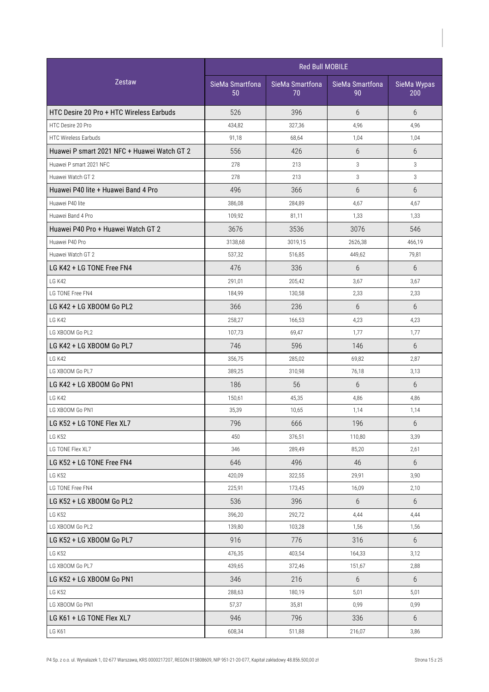|                                             | <b>Red Bull MOBILE</b> |                       |                       |                    |
|---------------------------------------------|------------------------|-----------------------|-----------------------|--------------------|
| Zestaw                                      | SieMa Smartfona<br>50  | SieMa Smartfona<br>70 | SieMa Smartfona<br>90 | SieMa Wypas<br>200 |
| HTC Desire 20 Pro + HTC Wireless Earbuds    | 526                    | 396                   | $6\overline{6}$       | 6                  |
| HTC Desire 20 Pro                           | 434,82                 | 327,36                | 4,96                  | 4,96               |
| <b>HTC Wireless Earbuds</b>                 | 91,18                  | 68,64                 | 1,04                  | 1,04               |
| Huawei P smart 2021 NFC + Huawei Watch GT 2 | 556                    | 426                   | 6                     | 6                  |
| Huawei P smart 2021 NFC                     | 278                    | 213                   | 3                     | 3                  |
| Huawei Watch GT 2                           | 278                    | 213                   | 3                     | 3                  |
| Huawei P40 lite + Huawei Band 4 Pro         | 496                    | 366                   | 6                     | 6                  |
| Huawei P40 lite                             | 386,08                 | 284,89                | 4,67                  | 4,67               |
| Huawei Band 4 Pro                           | 109,92                 | 81,11                 | 1,33                  | 1,33               |
| Huawei P40 Pro + Huawei Watch GT 2          | 3676                   | 3536                  | 3076                  | 546                |
| Huawei P40 Pro                              | 3138,68                | 3019,15               | 2626,38               | 466,19             |
| Huawei Watch GT 2                           | 537,32                 | 516,85                | 449,62                | 79,81              |
| LG K42 + LG TONE Free FN4                   | 476                    | 336                   | 6                     | 6                  |
| <b>LG K42</b>                               | 291,01                 | 205,42                | 3,67                  | 3,67               |
| LG TONE Free FN4                            | 184,99                 | 130,58                | 2,33                  | 2,33               |
| LG K42 + LG XBOOM Go PL2                    | 366                    | 236                   | 6                     | 6                  |
| LG K42                                      | 258,27                 | 166,53                | 4,23                  | 4,23               |
| LG XBOOM Go PL2                             | 107,73                 | 69,47                 | 1,77                  | 1,77               |
| LG K42 + LG XBOOM Go PL7                    | 746                    | 596                   | 146                   | 6                  |
| LG K42                                      | 356,75                 | 285,02                | 69,82                 | 2,87               |
| LG XBOOM Go PL7                             | 389,25                 | 310,98                | 76,18                 | 3,13               |
| LG K42 + LG XBOOM Go PN1                    | 186                    | 56                    | 6                     | 6                  |
| <b>LG K42</b>                               | 150,61                 | 45,35                 | 4,86                  | 4,86               |
| LG XBOOM Go PN1                             | 35,39                  | 10,65                 | 1,14                  | 1,14               |
| LG K52 + LG TONE Flex XL7                   | 796                    | 666                   | 196                   | 6                  |
| <b>LG K52</b>                               | 450                    | 376,51                | 110,80                | 3,39               |
| LG TONE Flex XL7                            | 346                    | 289,49                | 85,20                 | 2,61               |
| LG K52 + LG TONE Free FN4                   | 646                    | 496                   | 46                    | 6                  |
| <b>LG K52</b>                               | 420,09                 | 322,55                | 29,91                 | 3,90               |
| LG TONE Free FN4                            | 225,91                 | 173,45                | 16,09                 | 2,10               |
| LG K52 + LG XBOOM Go PL2                    | 536                    | 396                   | 6                     | 6                  |
| <b>LG K52</b>                               | 396,20                 | 292,72                | 4,44                  | 4,44               |
| LG XBOOM Go PL2                             | 139,80                 | 103,28                | 1,56                  | 1,56               |
| LG K52 + LG XBOOM Go PL7                    | 916                    | 776                   | 316                   | 6                  |
| <b>LG K52</b>                               | 476,35                 | 403,54                | 164,33                | 3,12               |
| LG XBOOM Go PL7                             | 439,65                 | 372,46                | 151,67                | 2,88               |
| LG K52 + LG XBOOM Go PN1                    | 346                    | 216                   | 6                     | 6                  |
| <b>LG K52</b>                               | 288,63                 | 180,19                | 5,01                  | 5,01               |
| LG XBOOM Go PN1                             | 57,37                  | 35,81                 | 0,99                  | 0,99               |
| LG K61 + LG TONE Flex XL7                   | 946                    | 796                   | 336                   | 6                  |
| <b>LG K61</b>                               | 608,34                 | 511,88                | 216,07                | 3,86               |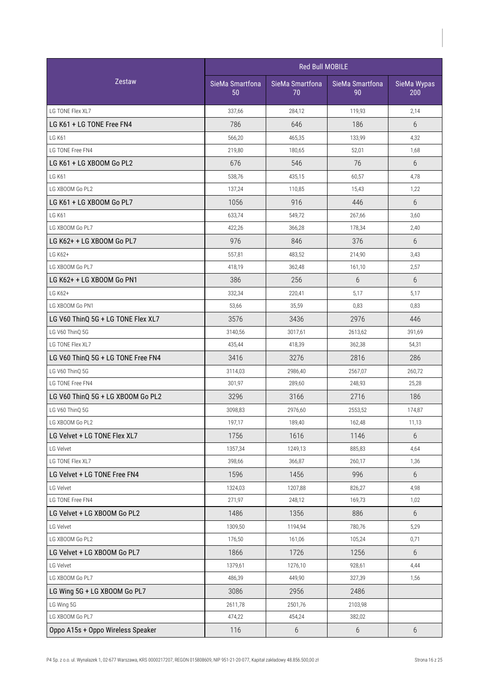|                                    |                       | <b>Red Bull MOBILE</b> |                       |                    |  |  |
|------------------------------------|-----------------------|------------------------|-----------------------|--------------------|--|--|
| Zestaw                             | SieMa Smartfona<br>50 | SieMa Smartfona<br>70  | SieMa Smartfona<br>90 | SieMa Wypas<br>200 |  |  |
| LG TONE Flex XL7                   | 337,66                | 284,12                 | 119,93                | 2,14               |  |  |
| LG K61 + LG TONE Free FN4          | 786                   | 646                    | 186                   | 6                  |  |  |
| <b>LG K61</b>                      | 566,20                | 465,35                 | 133,99                | 4,32               |  |  |
| LG TONE Free FN4                   | 219,80                | 180,65                 | 52,01                 | 1,68               |  |  |
| LG K61 + LG XBOOM Go PL2           | 676                   | 546                    | 76                    | 6                  |  |  |
| LG K61                             | 538,76                | 435,15                 | 60,57                 | 4,78               |  |  |
| LG XBOOM Go PL2                    | 137,24                | 110,85                 | 15,43                 | 1,22               |  |  |
| LG K61 + LG XBOOM Go PL7           | 1056                  | 916                    | 446                   | 6                  |  |  |
| <b>LG K61</b>                      | 633,74                | 549,72                 | 267,66                | 3,60               |  |  |
| LG XBOOM Go PL7                    | 422,26                | 366,28                 | 178,34                | 2,40               |  |  |
| LG K62+ + LG XBOOM Go PL7          | 976                   | 846                    | 376                   | 6                  |  |  |
| LG K62+                            | 557,81                | 483,52                 | 214,90                | 3,43               |  |  |
| LG XBOOM Go PL7                    | 418,19                | 362.48                 | 161,10                | 2,57               |  |  |
| LG K62+ + LG XBOOM Go PN1          | 386                   | 256                    | 6                     | 6                  |  |  |
| LG K62+                            | 332,34                | 220,41                 | 5,17                  | 5,17               |  |  |
| LG XBOOM Go PN1                    | 53,66                 | 35,59                  | 0,83                  | 0,83               |  |  |
| LG V60 ThinQ 5G + LG TONE Flex XL7 | 3576                  | 3436                   | 2976                  | 446                |  |  |
| LG V60 ThinQ 5G                    | 3140,56               | 3017,61                | 2613,62               | 391,69             |  |  |
| LG TONE Flex XL7                   | 435,44                | 418,39                 | 362,38                | 54,31              |  |  |
| LG V60 ThinQ 5G + LG TONE Free FN4 | 3416                  | 3276                   | 2816                  | 286                |  |  |
| LG V60 ThinQ 5G                    | 3114,03               | 2986,40                | 2567,07               | 260,72             |  |  |
| LG TONE Free FN4                   | 301,97                | 289,60                 | 248,93                | 25,28              |  |  |
| LG V60 ThinQ 5G + LG XBOOM Go PL2  | 3296                  | 3166                   | 2716                  | 186                |  |  |
| LG V60 ThinQ 5G                    | 3098,83               | 2976,60                | 2553,52               | 174,87             |  |  |
| LG XBOOM Go PL2                    | 197,17                | 189,40                 | 162,48                | 11,13              |  |  |
| LG Velvet + LG TONE Flex XL7       | 1756                  | 1616                   | 1146                  | 6                  |  |  |
| LG Velvet                          | 1357,34               | 1249,13                | 885,83                | 4,64               |  |  |
| LG TONE Flex XL7                   | 398,66                | 366,87                 | 260,17                | 1,36               |  |  |
| LG Velvet + LG TONE Free FN4       | 1596                  | 1456                   | 996                   | 6                  |  |  |
| LG Velvet                          | 1324,03               | 1207,88                | 826,27                | 4,98               |  |  |
| LG TONE Free FN4                   | 271,97                | 248,12                 | 169,73                | 1,02               |  |  |
| LG Velvet + LG XBOOM Go PL2        | 1486                  | 1356                   | 886                   | 6                  |  |  |
| LG Velvet                          | 1309,50               | 1194,94                | 780,76                | 5,29               |  |  |
| LG XBOOM Go PL2                    | 176,50                | 161,06                 | 105,24                | 0,71               |  |  |
| LG Velvet + LG XBOOM Go PL7        | 1866                  | 1726                   | 1256                  | 6                  |  |  |
| LG Velvet                          | 1379,61               | 1276,10                | 928,61                | 4,44               |  |  |
| LG XBOOM Go PL7                    | 486,39                | 449,90                 | 327,39                | 1,56               |  |  |
| LG Wing 5G + LG XBOOM Go PL7       | 3086                  | 2956                   | 2486                  |                    |  |  |
| LG Wing 5G                         | 2611,78               | 2501,76                | 2103,98               |                    |  |  |
| LG XBOOM Go PL7                    | 474,22                | 454,24                 | 382,02                |                    |  |  |
| Oppo A15s + Oppo Wireless Speaker  | 116                   | 6                      | $6\,$                 | 6                  |  |  |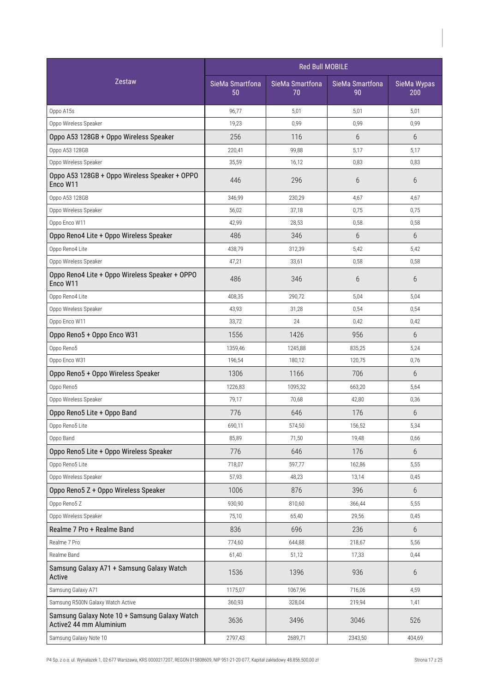|                                                                          | <b>Red Bull MOBILE</b> |                       |                       |                    |  |
|--------------------------------------------------------------------------|------------------------|-----------------------|-----------------------|--------------------|--|
| Zestaw                                                                   | SieMa Smartfona<br>50  | SieMa Smartfona<br>70 | SieMa Smartfona<br>90 | SieMa Wypas<br>200 |  |
| Oppo A15s                                                                | 96,77                  | 5,01                  | 5,01                  | 5,01               |  |
| Oppo Wireless Speaker                                                    | 19,23                  | 0,99                  | 0,99                  | 0,99               |  |
| Oppo A53 128GB + Oppo Wireless Speaker                                   | 256                    | 116                   | 6                     | 6                  |  |
| Oppo A53 128GB                                                           | 220,41                 | 99,88                 | 5,17                  | 5,17               |  |
| Oppo Wireless Speaker                                                    | 35,59                  | 16,12                 | 0,83                  | 0,83               |  |
| Oppo A53 128GB + Oppo Wireless Speaker + OPPO<br>Enco W11                | 446                    | 296                   | 6                     | 6                  |  |
| Oppo A53 128GB                                                           | 346,99                 | 230,29                | 4,67                  | 4,67               |  |
| Oppo Wireless Speaker                                                    | 56,02                  | 37,18                 | 0,75                  | 0,75               |  |
| Oppo Enco W11                                                            | 42,99                  | 28,53                 | 0,58                  | 0,58               |  |
| Oppo Reno4 Lite + Oppo Wireless Speaker                                  | 486                    | 346                   | 6                     | 6                  |  |
| Oppo Reno4 Lite                                                          | 438,79                 | 312,39                | 5,42                  | 5,42               |  |
| Oppo Wireless Speaker                                                    | 47,21                  | 33,61                 | 0,58                  | 0,58               |  |
| Oppo Reno4 Lite + Oppo Wireless Speaker + OPPO<br>Enco W11               | 486                    | 346                   | 6                     | 6                  |  |
| Oppo Reno4 Lite                                                          | 408,35                 | 290,72                | 5,04                  | 5,04               |  |
| Oppo Wireless Speaker                                                    | 43,93                  | 31,28                 | 0,54                  | 0,54               |  |
| Oppo Enco W11                                                            | 33,72                  | 24                    | 0,42                  | 0,42               |  |
| Oppo Reno5 + Oppo Enco W31                                               | 1556                   | 1426                  | 956                   | 6                  |  |
| Oppo Reno5                                                               | 1359,46                | 1245,88               | 835,25                | 5,24               |  |
| Oppo Enco W31                                                            | 196,54                 | 180,12                | 120,75                | 0,76               |  |
| Oppo Reno5 + Oppo Wireless Speaker                                       | 1306                   | 1166                  | 706                   | $6\overline{6}$    |  |
| Oppo Reno5                                                               | 1226,83                | 1095,32               | 663,20                | 5,64               |  |
| Oppo Wireless Speaker                                                    | 79,17                  | 70,68                 | 42,80                 | 0,36               |  |
| Oppo Reno5 Lite + Oppo Band                                              | 776                    | 646                   | 176                   | 6                  |  |
| Oppo Reno5 Lite                                                          | 690,11                 | 574,50                | 156,52                | 5,34               |  |
| Oppo Band                                                                | 85,89                  | 71,50                 | 19,48                 | 0,66               |  |
| Oppo Reno5 Lite + Oppo Wireless Speaker                                  | 776                    | 646                   | 176                   | 6                  |  |
| Oppo Reno5 Lite                                                          | 718,07                 | 597,77                | 162,86                | 5,55               |  |
| Oppo Wireless Speaker                                                    | 57,93                  | 48,23                 | 13,14                 | 0,45               |  |
| Oppo Reno5 Z + Oppo Wireless Speaker                                     | 1006                   | 876                   | 396                   | $6\,$              |  |
| Oppo Reno5 Z                                                             | 930,90                 | 810,60                | 366,44                | 5,55               |  |
| Oppo Wireless Speaker                                                    | 75,10                  | 65,40                 | 29,56                 | 0,45               |  |
| Realme 7 Pro + Realme Band                                               | 836                    | 696                   | 236                   | 6                  |  |
| Realme 7 Pro                                                             | 774,60                 | 644,88                | 218,67                | 5,56               |  |
| Realme Band                                                              | 61,40                  | 51,12                 | 17,33                 | 0,44               |  |
| Samsung Galaxy A71 + Samsung Galaxy Watch<br>Active                      | 1536                   | 1396                  | 936                   | 6                  |  |
| Samsung Galaxy A71                                                       | 1175,07                | 1067,96               | 716,06                | 4,59               |  |
| Samsung R500N Galaxy Watch Active                                        | 360,93                 | 328,04                | 219,94                | 1,41               |  |
| Samsung Galaxy Note 10 + Samsung Galaxy Watch<br>Active2 44 mm Aluminium | 3636                   | 3496                  | 3046                  | 526                |  |
| Samsung Galaxy Note 10                                                   | 2797,43                | 2689,71               | 2343,50               | 404,69             |  |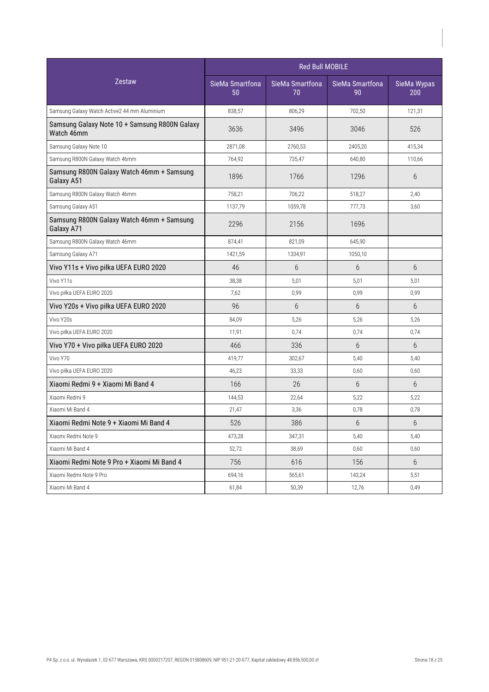|                                                             | <b>Red Bull MOBILE</b> |                       |                       |                    |
|-------------------------------------------------------------|------------------------|-----------------------|-----------------------|--------------------|
| <b>Zestaw</b>                                               | SieMa Smartfona<br>50  | SieMa Smartfona<br>70 | SieMa Smartfona<br>90 | SieMa Wypas<br>200 |
| Samsung Galaxy Watch Active2 44 mm Aluminium                | 838,57                 | 806,29                | 702,50                | 121,31             |
| Samsung Galaxy Note 10 + Samsung R800N Galaxy<br>Watch 46mm | 3636                   | 3496                  | 3046                  | 526                |
| Samsung Galaxy Note 10                                      | 2871,08                | 2760,53               | 2405,20               | 415,34             |
| Samsung R800N Galaxy Watch 46mm                             | 764,92                 | 735,47                | 640,80                | 110,66             |
| Samsung R800N Galaxy Watch 46mm + Samsung<br>Galaxy A51     | 1896                   | 1766                  | 1296                  | 6                  |
| Samsung R800N Galaxy Watch 46mm                             | 758,21                 | 706,22                | 518,27                | 2,40               |
| Samsung Galaxy A51                                          | 1137,79                | 1059,78               | 777,73                | 3,60               |
| Samsung R800N Galaxy Watch 46mm + Samsung<br>Galaxy A71     | 2296                   | 2156                  | 1696                  |                    |
| Samsung R800N Galaxy Watch 46mm                             | 874,41                 | 821,09                | 645,90                |                    |
| Samsung Galaxy A71                                          | 1421,59                | 1334,91               | 1050,10               |                    |
| Vivo Y11s + Vivo piłka UEFA EURO 2020                       | 46                     | 6                     | 6                     | 6                  |
| Vivo Y11s                                                   | 38,38                  | 5,01                  | 5,01                  | 5,01               |
| Vivo piłka UEFA EURO 2020                                   | 7,62                   | 0,99                  | 0,99                  | 0,99               |
| Vivo Y20s + Vivo piłka UEFA EURO 2020                       | 96                     | 6                     | 6                     | 6                  |
| Vivo Y20s                                                   | 84,09                  | 5,26                  | 5,26                  | 5,26               |
| Vivo piłka UEFA EURO 2020                                   | 11,91                  | 0,74                  | 0,74                  | 0,74               |
| Vivo Y70 + Vivo piłka UEFA EURO 2020                        | 466                    | 336                   | 6                     | 6                  |
| Vivo Y70                                                    | 419,77                 | 302,67                | 5,40                  | 5,40               |
| Vivo piłka UEFA EURO 2020                                   | 46,23                  | 33,33                 | 0,60                  | 0,60               |
| Xiaomi Redmi 9 + Xiaomi Mi Band 4                           | 166                    | 26                    | 6                     | 6                  |
| Xiaomi Redmi 9                                              | 144,53                 | 22,64                 | 5,22                  | 5,22               |
| Xiaomi Mi Band 4                                            | 21,47                  | 3,36                  | 0,78                  | 0,78               |
| Xiaomi Redmi Note 9 + Xiaomi Mi Band 4                      | 526                    | 386                   | 6                     | 6                  |
| Xiaomi Redmi Note 9                                         | 473,28                 | 347,31                | 5,40                  | 5,40               |
| Xiaomi Mi Band 4                                            | 52,72                  | 38,69                 | 0,60                  | 0,60               |
| Xiaomi Redmi Note 9 Pro + Xiaomi Mi Band 4                  | 756                    | 616                   | 156                   | 6                  |
| Xiaomi Redmi Note 9 Pro                                     | 694,16                 | 565,61                | 143,24                | 5,51               |
| Xiaomi Mi Band 4                                            | 61,84                  | 50,39                 | 12,76                 | 0,49               |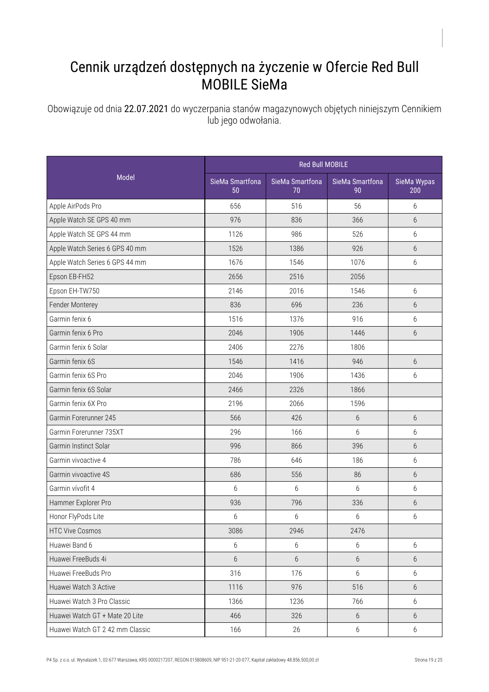## Cennik urządzeń dostępnych na życzenie w Ofercie Red Bull MOBILE SieMa

Obowiązuje od dnia 22.07.2021 do wyczerpania stanów magazynowych objętych niniejszym Cennikiem lub jego odwołania.

|                                 |                       | <b>Red Bull MOBILE</b> |                       |                    |  |  |
|---------------------------------|-----------------------|------------------------|-----------------------|--------------------|--|--|
| Model                           | SieMa Smartfona<br>50 | SieMa Smartfona<br>70  | SieMa Smartfona<br>90 | SieMa Wypas<br>200 |  |  |
| Apple AirPods Pro               | 656                   | 516                    | 56                    | 6                  |  |  |
| Apple Watch SE GPS 40 mm        | 976                   | 836                    | 366                   | 6                  |  |  |
| Apple Watch SE GPS 44 mm        | 1126                  | 986                    | 526                   | 6                  |  |  |
| Apple Watch Series 6 GPS 40 mm  | 1526                  | 1386                   | 926                   | $6\overline{6}$    |  |  |
| Apple Watch Series 6 GPS 44 mm  | 1676                  | 1546                   | 1076                  | 6                  |  |  |
| Epson EB-FH52                   | 2656                  | 2516                   | 2056                  |                    |  |  |
| Epson EH-TW750                  | 2146                  | 2016                   | 1546                  | 6                  |  |  |
| Fender Monterey                 | 836                   | 696                    | 236                   | 6                  |  |  |
| Garmin fenix 6                  | 1516                  | 1376                   | 916                   | 6                  |  |  |
| Garmin fenix 6 Pro              | 2046                  | 1906                   | 1446                  | 6                  |  |  |
| Garmin fenix 6 Solar            | 2406                  | 2276                   | 1806                  |                    |  |  |
| Garmin fenix 6S                 | 1546                  | 1416                   | 946                   | 6                  |  |  |
| Garmin fenix 6S Pro             | 2046                  | 1906                   | 1436                  | 6                  |  |  |
| Garmin fenix 6S Solar           | 2466                  | 2326                   | 1866                  |                    |  |  |
| Garmin fenix 6X Pro             | 2196                  | 2066                   | 1596                  |                    |  |  |
| Garmin Forerunner 245           | 566                   | 426                    | $6\,$                 | 6                  |  |  |
| Garmin Forerunner 735XT         | 296                   | 166                    | 6                     | 6                  |  |  |
| Garmin Instinct Solar           | 996                   | 866                    | 396                   | 6                  |  |  |
| Garmin vivoactive 4             | 786                   | 646                    | 186                   | 6                  |  |  |
| Garmin vivoactive 4S            | 686                   | 556                    | 86                    | 6                  |  |  |
| Garmin vívofit 4                | 6                     | 6                      | 6                     | 6                  |  |  |
| Hammer Explorer Pro             | 936                   | 796                    | 336                   | 6                  |  |  |
| Honor FlyPods Lite              | 6                     | 6                      | 6                     | 6                  |  |  |
| <b>HTC Vive Cosmos</b>          | 3086                  | 2946                   | 2476                  |                    |  |  |
| Huawei Band 6                   | 6                     | 6                      | 6                     | 6                  |  |  |
| Huawei FreeBuds 4i              | 6                     | 6                      | $6\,$                 | 6                  |  |  |
| Huawei FreeBuds Pro             | 316                   | 176                    | 6                     | 6                  |  |  |
| Huawei Watch 3 Active           | 1116                  | 976                    | 516                   | 6                  |  |  |
| Huawei Watch 3 Pro Classic      | 1366                  | 1236                   | 766                   | 6                  |  |  |
| Huawei Watch GT + Mate 20 Lite  | 466                   | 326                    | $6\,$                 | 6                  |  |  |
| Huawei Watch GT 2 42 mm Classic | 166                   | 26                     | $6\,$                 | 6                  |  |  |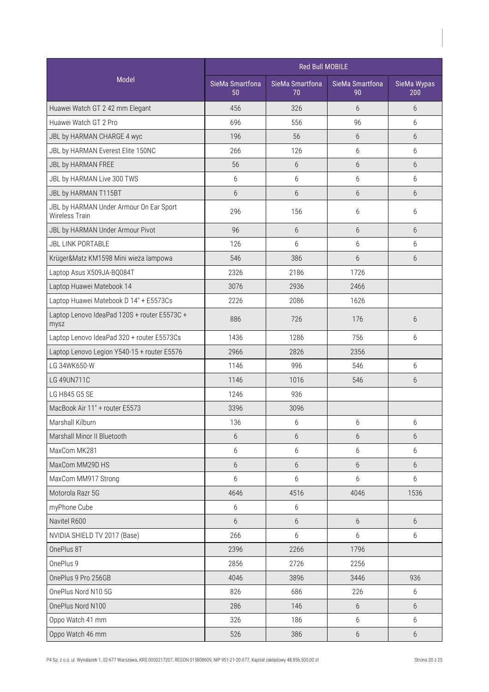| Model<br>SieMa Smartfona<br>SieMa Smartfona<br>SieMa Smartfona<br>SieMa Wypas<br>50<br>70<br>90<br>200<br>Huawei Watch GT 2 42 mm Elegant<br>326<br>456<br>6<br>6<br>Huawei Watch GT 2 Pro<br>696<br>556<br>96<br>6<br>196<br>$6\overline{6}$<br>$6\overline{6}$<br>JBL by HARMAN CHARGE 4 wyc<br>56<br>266<br>JBL by HARMAN Everest Elite 150NC<br>126<br>6<br>6<br>JBL by HARMAN FREE<br>56<br>6<br>$6\overline{6}$<br>6<br>$6\,$<br>6<br>JBL by HARMAN Live 300 TWS<br>6<br>6<br>6<br>$6\,$<br>6<br>6<br>JBL by HARMAN T115BT<br>JBL by HARMAN Under Armour On Ear Sport<br>296<br>156<br>6<br>6<br>Wireless Train<br>96<br>6<br>$6\overline{6}$<br>$6\overline{6}$<br>JBL by HARMAN Under Armour Pivot<br><b>JBL LINK PORTABLE</b><br>126<br>6<br>6<br>6<br>546<br>386<br>6<br>6<br>Krüger&Matz KM1598 Mini wieża lampowa<br>Laptop Asus X509JA-BQ084T<br>2326<br>2186<br>1726<br>Laptop Huawei Matebook 14<br>3076<br>2936<br>2466<br>Laptop Huawei Matebook D 14" + E5573Cs<br>2086<br>1626<br>2226<br>Laptop Lenovo IdeaPad 120S + router E5573C +<br>886<br>726<br>176<br>6<br>mysz<br>Laptop Lenovo IdeaPad 320 + router E5573Cs<br>756<br>1436<br>1286<br>6<br>Laptop Lenovo Legion Y540-15 + router E5576<br>2966<br>2826<br>2356<br>LG 34WK650-W<br>6<br>1146<br>996<br>546<br>LG 49UN711C<br>1146<br>1016<br>546<br>6<br>LG H845 G5 SE<br>1246<br>936<br>MacBook Air 11" + router E5573<br>3096<br>3396<br>Marshall Kilburn<br>6<br>6<br>6<br>136<br>Marshall Minor II Bluetooth<br>$6\,$<br>$6\,$<br>$6\,$<br>6<br>MaxCom MK281<br>6<br>6<br>6<br>6<br>MaxCom MM29D HS<br>$6\phantom{.}6$<br>$6\,$<br>$6\,$<br>6<br>6<br>6<br>6<br>MaxCom MM917 Strong<br>6<br>Motorola Razr 5G<br>4646<br>4516<br>4046<br>1536<br>myPhone Cube<br>$6\,$<br>6<br>Navitel R600<br>$6\overline{6}$<br>$6\,$<br>6<br>$6\phantom{.}6$ |
|---------------------------------------------------------------------------------------------------------------------------------------------------------------------------------------------------------------------------------------------------------------------------------------------------------------------------------------------------------------------------------------------------------------------------------------------------------------------------------------------------------------------------------------------------------------------------------------------------------------------------------------------------------------------------------------------------------------------------------------------------------------------------------------------------------------------------------------------------------------------------------------------------------------------------------------------------------------------------------------------------------------------------------------------------------------------------------------------------------------------------------------------------------------------------------------------------------------------------------------------------------------------------------------------------------------------------------------------------------------------------------------------------------------------------------------------------------------------------------------------------------------------------------------------------------------------------------------------------------------------------------------------------------------------------------------------------------------------------------------------------------------------------------------------------------------------------------|
|                                                                                                                                                                                                                                                                                                                                                                                                                                                                                                                                                                                                                                                                                                                                                                                                                                                                                                                                                                                                                                                                                                                                                                                                                                                                                                                                                                                                                                                                                                                                                                                                                                                                                                                                                                                                                                 |
|                                                                                                                                                                                                                                                                                                                                                                                                                                                                                                                                                                                                                                                                                                                                                                                                                                                                                                                                                                                                                                                                                                                                                                                                                                                                                                                                                                                                                                                                                                                                                                                                                                                                                                                                                                                                                                 |
|                                                                                                                                                                                                                                                                                                                                                                                                                                                                                                                                                                                                                                                                                                                                                                                                                                                                                                                                                                                                                                                                                                                                                                                                                                                                                                                                                                                                                                                                                                                                                                                                                                                                                                                                                                                                                                 |
|                                                                                                                                                                                                                                                                                                                                                                                                                                                                                                                                                                                                                                                                                                                                                                                                                                                                                                                                                                                                                                                                                                                                                                                                                                                                                                                                                                                                                                                                                                                                                                                                                                                                                                                                                                                                                                 |
|                                                                                                                                                                                                                                                                                                                                                                                                                                                                                                                                                                                                                                                                                                                                                                                                                                                                                                                                                                                                                                                                                                                                                                                                                                                                                                                                                                                                                                                                                                                                                                                                                                                                                                                                                                                                                                 |
|                                                                                                                                                                                                                                                                                                                                                                                                                                                                                                                                                                                                                                                                                                                                                                                                                                                                                                                                                                                                                                                                                                                                                                                                                                                                                                                                                                                                                                                                                                                                                                                                                                                                                                                                                                                                                                 |
|                                                                                                                                                                                                                                                                                                                                                                                                                                                                                                                                                                                                                                                                                                                                                                                                                                                                                                                                                                                                                                                                                                                                                                                                                                                                                                                                                                                                                                                                                                                                                                                                                                                                                                                                                                                                                                 |
|                                                                                                                                                                                                                                                                                                                                                                                                                                                                                                                                                                                                                                                                                                                                                                                                                                                                                                                                                                                                                                                                                                                                                                                                                                                                                                                                                                                                                                                                                                                                                                                                                                                                                                                                                                                                                                 |
|                                                                                                                                                                                                                                                                                                                                                                                                                                                                                                                                                                                                                                                                                                                                                                                                                                                                                                                                                                                                                                                                                                                                                                                                                                                                                                                                                                                                                                                                                                                                                                                                                                                                                                                                                                                                                                 |
|                                                                                                                                                                                                                                                                                                                                                                                                                                                                                                                                                                                                                                                                                                                                                                                                                                                                                                                                                                                                                                                                                                                                                                                                                                                                                                                                                                                                                                                                                                                                                                                                                                                                                                                                                                                                                                 |
|                                                                                                                                                                                                                                                                                                                                                                                                                                                                                                                                                                                                                                                                                                                                                                                                                                                                                                                                                                                                                                                                                                                                                                                                                                                                                                                                                                                                                                                                                                                                                                                                                                                                                                                                                                                                                                 |
|                                                                                                                                                                                                                                                                                                                                                                                                                                                                                                                                                                                                                                                                                                                                                                                                                                                                                                                                                                                                                                                                                                                                                                                                                                                                                                                                                                                                                                                                                                                                                                                                                                                                                                                                                                                                                                 |
|                                                                                                                                                                                                                                                                                                                                                                                                                                                                                                                                                                                                                                                                                                                                                                                                                                                                                                                                                                                                                                                                                                                                                                                                                                                                                                                                                                                                                                                                                                                                                                                                                                                                                                                                                                                                                                 |
|                                                                                                                                                                                                                                                                                                                                                                                                                                                                                                                                                                                                                                                                                                                                                                                                                                                                                                                                                                                                                                                                                                                                                                                                                                                                                                                                                                                                                                                                                                                                                                                                                                                                                                                                                                                                                                 |
|                                                                                                                                                                                                                                                                                                                                                                                                                                                                                                                                                                                                                                                                                                                                                                                                                                                                                                                                                                                                                                                                                                                                                                                                                                                                                                                                                                                                                                                                                                                                                                                                                                                                                                                                                                                                                                 |
|                                                                                                                                                                                                                                                                                                                                                                                                                                                                                                                                                                                                                                                                                                                                                                                                                                                                                                                                                                                                                                                                                                                                                                                                                                                                                                                                                                                                                                                                                                                                                                                                                                                                                                                                                                                                                                 |
|                                                                                                                                                                                                                                                                                                                                                                                                                                                                                                                                                                                                                                                                                                                                                                                                                                                                                                                                                                                                                                                                                                                                                                                                                                                                                                                                                                                                                                                                                                                                                                                                                                                                                                                                                                                                                                 |
|                                                                                                                                                                                                                                                                                                                                                                                                                                                                                                                                                                                                                                                                                                                                                                                                                                                                                                                                                                                                                                                                                                                                                                                                                                                                                                                                                                                                                                                                                                                                                                                                                                                                                                                                                                                                                                 |
|                                                                                                                                                                                                                                                                                                                                                                                                                                                                                                                                                                                                                                                                                                                                                                                                                                                                                                                                                                                                                                                                                                                                                                                                                                                                                                                                                                                                                                                                                                                                                                                                                                                                                                                                                                                                                                 |
|                                                                                                                                                                                                                                                                                                                                                                                                                                                                                                                                                                                                                                                                                                                                                                                                                                                                                                                                                                                                                                                                                                                                                                                                                                                                                                                                                                                                                                                                                                                                                                                                                                                                                                                                                                                                                                 |
|                                                                                                                                                                                                                                                                                                                                                                                                                                                                                                                                                                                                                                                                                                                                                                                                                                                                                                                                                                                                                                                                                                                                                                                                                                                                                                                                                                                                                                                                                                                                                                                                                                                                                                                                                                                                                                 |
|                                                                                                                                                                                                                                                                                                                                                                                                                                                                                                                                                                                                                                                                                                                                                                                                                                                                                                                                                                                                                                                                                                                                                                                                                                                                                                                                                                                                                                                                                                                                                                                                                                                                                                                                                                                                                                 |
|                                                                                                                                                                                                                                                                                                                                                                                                                                                                                                                                                                                                                                                                                                                                                                                                                                                                                                                                                                                                                                                                                                                                                                                                                                                                                                                                                                                                                                                                                                                                                                                                                                                                                                                                                                                                                                 |
|                                                                                                                                                                                                                                                                                                                                                                                                                                                                                                                                                                                                                                                                                                                                                                                                                                                                                                                                                                                                                                                                                                                                                                                                                                                                                                                                                                                                                                                                                                                                                                                                                                                                                                                                                                                                                                 |
|                                                                                                                                                                                                                                                                                                                                                                                                                                                                                                                                                                                                                                                                                                                                                                                                                                                                                                                                                                                                                                                                                                                                                                                                                                                                                                                                                                                                                                                                                                                                                                                                                                                                                                                                                                                                                                 |
|                                                                                                                                                                                                                                                                                                                                                                                                                                                                                                                                                                                                                                                                                                                                                                                                                                                                                                                                                                                                                                                                                                                                                                                                                                                                                                                                                                                                                                                                                                                                                                                                                                                                                                                                                                                                                                 |
|                                                                                                                                                                                                                                                                                                                                                                                                                                                                                                                                                                                                                                                                                                                                                                                                                                                                                                                                                                                                                                                                                                                                                                                                                                                                                                                                                                                                                                                                                                                                                                                                                                                                                                                                                                                                                                 |
|                                                                                                                                                                                                                                                                                                                                                                                                                                                                                                                                                                                                                                                                                                                                                                                                                                                                                                                                                                                                                                                                                                                                                                                                                                                                                                                                                                                                                                                                                                                                                                                                                                                                                                                                                                                                                                 |
|                                                                                                                                                                                                                                                                                                                                                                                                                                                                                                                                                                                                                                                                                                                                                                                                                                                                                                                                                                                                                                                                                                                                                                                                                                                                                                                                                                                                                                                                                                                                                                                                                                                                                                                                                                                                                                 |
|                                                                                                                                                                                                                                                                                                                                                                                                                                                                                                                                                                                                                                                                                                                                                                                                                                                                                                                                                                                                                                                                                                                                                                                                                                                                                                                                                                                                                                                                                                                                                                                                                                                                                                                                                                                                                                 |
| NVIDIA SHIELD TV 2017 (Base)<br>266<br>6<br>6<br>6                                                                                                                                                                                                                                                                                                                                                                                                                                                                                                                                                                                                                                                                                                                                                                                                                                                                                                                                                                                                                                                                                                                                                                                                                                                                                                                                                                                                                                                                                                                                                                                                                                                                                                                                                                              |
| OnePlus 8T<br>2396<br>2266<br>1796                                                                                                                                                                                                                                                                                                                                                                                                                                                                                                                                                                                                                                                                                                                                                                                                                                                                                                                                                                                                                                                                                                                                                                                                                                                                                                                                                                                                                                                                                                                                                                                                                                                                                                                                                                                              |
| OnePlus 9<br>2856<br>2726<br>2256                                                                                                                                                                                                                                                                                                                                                                                                                                                                                                                                                                                                                                                                                                                                                                                                                                                                                                                                                                                                                                                                                                                                                                                                                                                                                                                                                                                                                                                                                                                                                                                                                                                                                                                                                                                               |
| OnePlus 9 Pro 256GB<br>4046<br>3896<br>3446<br>936                                                                                                                                                                                                                                                                                                                                                                                                                                                                                                                                                                                                                                                                                                                                                                                                                                                                                                                                                                                                                                                                                                                                                                                                                                                                                                                                                                                                                                                                                                                                                                                                                                                                                                                                                                              |
| OnePlus Nord N10 5G<br>826<br>686<br>226<br>6                                                                                                                                                                                                                                                                                                                                                                                                                                                                                                                                                                                                                                                                                                                                                                                                                                                                                                                                                                                                                                                                                                                                                                                                                                                                                                                                                                                                                                                                                                                                                                                                                                                                                                                                                                                   |
| OnePlus Nord N100<br>286<br>6<br>146<br>6                                                                                                                                                                                                                                                                                                                                                                                                                                                                                                                                                                                                                                                                                                                                                                                                                                                                                                                                                                                                                                                                                                                                                                                                                                                                                                                                                                                                                                                                                                                                                                                                                                                                                                                                                                                       |
| Oppo Watch 41 mm<br>326<br>186<br>6<br>6                                                                                                                                                                                                                                                                                                                                                                                                                                                                                                                                                                                                                                                                                                                                                                                                                                                                                                                                                                                                                                                                                                                                                                                                                                                                                                                                                                                                                                                                                                                                                                                                                                                                                                                                                                                        |
| Oppo Watch 46 mm<br>526<br>386<br>$6\,$<br>6                                                                                                                                                                                                                                                                                                                                                                                                                                                                                                                                                                                                                                                                                                                                                                                                                                                                                                                                                                                                                                                                                                                                                                                                                                                                                                                                                                                                                                                                                                                                                                                                                                                                                                                                                                                    |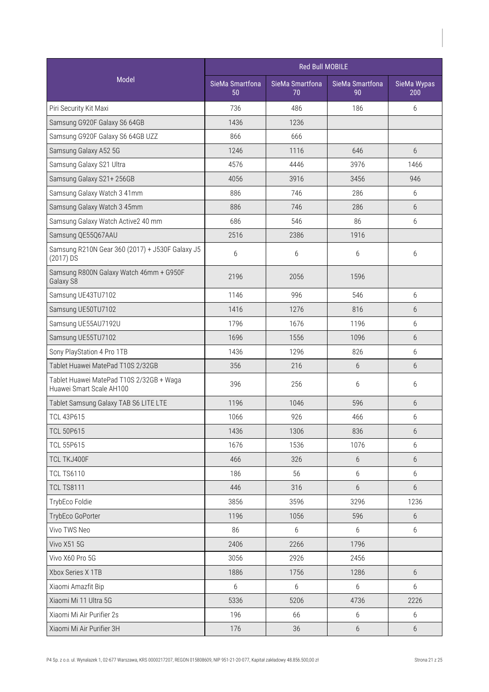|                                                                      | <b>Red Bull MOBILE</b> |                       |                       |                    |  |
|----------------------------------------------------------------------|------------------------|-----------------------|-----------------------|--------------------|--|
| <b>Model</b>                                                         | SieMa Smartfona<br>50  | SieMa Smartfona<br>70 | SieMa Smartfona<br>90 | SieMa Wypas<br>200 |  |
| Piri Security Kit Maxi                                               | 736                    | 486                   | 186                   | 6                  |  |
| Samsung G920F Galaxy S6 64GB                                         | 1436                   | 1236                  |                       |                    |  |
| Samsung G920F Galaxy S6 64GB UZZ                                     | 866                    | 666                   |                       |                    |  |
| Samsung Galaxy A52 5G                                                | 1246                   | 1116                  | 646                   | $6\overline{6}$    |  |
| Samsung Galaxy S21 Ultra                                             | 4576                   | 4446                  | 3976                  | 1466               |  |
| Samsung Galaxy S21+256GB                                             | 4056                   | 3916                  | 3456                  | 946                |  |
| Samsung Galaxy Watch 3 41mm                                          | 886                    | 746                   | 286                   | 6                  |  |
| Samsung Galaxy Watch 3 45mm                                          | 886                    | 746                   | 286                   | 6                  |  |
| Samsung Galaxy Watch Active2 40 mm                                   | 686                    | 546                   | 86                    | 6                  |  |
| Samsung QE55Q67AAU                                                   | 2516                   | 2386                  | 1916                  |                    |  |
| Samsung R210N Gear 360 (2017) + J530F Galaxy J5<br>(2017) DS         | 6                      | 6                     | 6                     | 6                  |  |
| Samsung R800N Galaxy Watch 46mm + G950F<br>Galaxy S8                 | 2196                   | 2056                  | 1596                  |                    |  |
| Samsung UE43TU7102                                                   | 1146                   | 996                   | 546                   | 6                  |  |
| Samsung UE50TU7102                                                   | 1416                   | 1276                  | 816                   | 6                  |  |
| Samsung UE55AU7192U                                                  | 1796                   | 1676                  | 1196                  | 6                  |  |
| Samsung UE55TU7102                                                   | 1696                   | 1556                  | 1096                  | $6\overline{6}$    |  |
| Sony PlayStation 4 Pro 1TB                                           | 1436                   | 1296                  | 826                   | 6                  |  |
| Tablet Huawei MatePad T10S 2/32GB                                    | 356                    | 216                   | 6                     | $6\overline{6}$    |  |
| Tablet Huawei MatePad T10S 2/32GB + Waga<br>Huawei Smart Scale AH100 | 396                    | 256                   | 6                     | 6                  |  |
| Tablet Samsung Galaxy TAB S6 LITE LTE                                | 1196                   | 1046                  | 596                   | $6\overline{6}$    |  |
| <b>TCL 43P615</b>                                                    | 1066                   | 926                   | 466                   | 6                  |  |
| <b>TCL 50P615</b>                                                    | 1436                   | 1306                  | 836                   | 6                  |  |
| <b>TCL 55P615</b>                                                    | 1676                   | 1536                  | 1076                  | 6                  |  |
| TCL TKJ400F                                                          | 466                    | 326                   | $6\,$                 | $6\,$              |  |
| <b>TCL TS6110</b>                                                    | 186                    | 56                    | 6                     | 6                  |  |
| <b>TCL TS8111</b>                                                    | 446                    | 316                   | $6\,$                 | 6                  |  |
| TrybEco Foldie                                                       | 3856                   | 3596                  | 3296                  | 1236               |  |
| TrybEco GoPorter                                                     | 1196                   | 1056                  | 596                   | 6                  |  |
| Vivo TWS Neo                                                         | 86                     | 6                     | 6                     | 6                  |  |
| Vivo X51 5G                                                          | 2406                   | 2266                  | 1796                  |                    |  |
| Vivo X60 Pro 5G                                                      | 3056                   | 2926                  | 2456                  |                    |  |
| Xbox Series X 1TB                                                    | 1886                   | 1756                  | 1286                  | 6                  |  |
| Xiaomi Amazfit Bip                                                   | 6                      | 6                     | 6                     | 6                  |  |
| Xiaomi Mi 11 Ultra 5G                                                | 5336                   | 5206                  | 4736                  | 2226               |  |
| Xiaomi Mi Air Purifier 2s                                            | 196                    | 66                    | 6                     | 6                  |  |
| Xiaomi Mi Air Purifier 3H                                            | 176                    | 36                    | $6\,$                 | 6                  |  |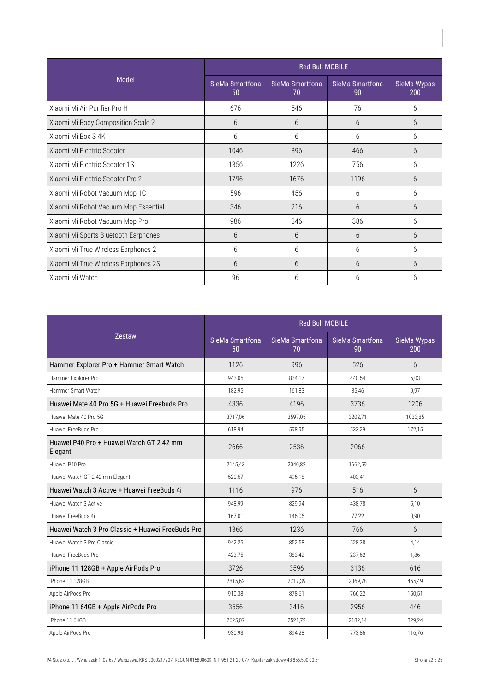|                                      | <b>Red Bull MOBILE</b> |                       |                       |                    |  |
|--------------------------------------|------------------------|-----------------------|-----------------------|--------------------|--|
| <b>Model</b>                         | SieMa Smartfona<br>50  | SieMa Smartfona<br>70 | SieMa Smartfona<br>90 | SieMa Wypas<br>200 |  |
| Xiaomi Mi Air Purifier Pro H         | 676                    | 546                   | 76                    | 6                  |  |
| Xiaomi Mi Body Composition Scale 2   | 6                      | 6                     | 6                     | 6                  |  |
| Xiaomi Mi Box S 4K                   | 6                      | 6                     | 6                     | 6                  |  |
| Xiaomi Mi Electric Scooter           | 1046                   | 896                   | 466                   | 6                  |  |
| Xiaomi Mi Electric Scooter 1S        | 1356                   | 1226                  | 756                   | 6                  |  |
| Xiaomi Mi Electric Scooter Pro 2     | 1796                   | 1676                  | 1196                  | 6                  |  |
| Xiaomi Mi Robot Vacuum Mop 1C        | 596                    | 456                   | 6                     | 6                  |  |
| Xiaomi Mi Robot Vacuum Mop Essential | 346                    | 216                   | 6                     | 6                  |  |
| Xiaomi Mi Robot Vacuum Mop Pro       | 986                    | 846                   | 386                   | 6                  |  |
| Xiaomi Mi Sports Bluetooth Earphones | 6                      | 6                     | 6                     | 6                  |  |
| Xiaomi Mi True Wireless Earphones 2  | 6                      | 6                     | 6                     | 6                  |  |
| Xiaomi Mi True Wireless Earphones 2S | 6                      | 6                     | 6                     | 6                  |  |
| Xiaomi Mi Watch                      | 96                     | 6                     | 6                     | 6                  |  |

|                                                     | <b>Red Bull MOBILE</b> |                       |                       |                    |
|-----------------------------------------------------|------------------------|-----------------------|-----------------------|--------------------|
| <b>Zestaw</b>                                       | SieMa Smartfona<br>50  | SieMa Smartfona<br>70 | SieMa Smartfona<br>90 | SieMa Wypas<br>200 |
| Hammer Explorer Pro + Hammer Smart Watch            | 1126                   | 996                   | 526                   | $6\overline{6}$    |
| Hammer Explorer Pro                                 | 943.05                 | 834.17                | 440.54                | 5.03               |
| Hammer Smart Watch                                  | 182,95                 | 161,83                | 85,46                 | 0,97               |
| Huawei Mate 40 Pro 5G + Huawei Freebuds Pro         | 4336                   | 4196                  | 3736                  | 1206               |
| Huawei Mate 40 Pro 5G                               | 3717,06                | 3597,05               | 3202,71               | 1033,85            |
| Huawei FreeBuds Pro                                 | 618,94                 | 598,95                | 533,29                | 172,15             |
| Huawei P40 Pro + Huawei Watch GT 2 42 mm<br>Elegant | 2666                   | 2536                  | 2066                  |                    |
| Huawei P40 Pro                                      | 2145,43                | 2040,82               | 1662,59               |                    |
| Huawei Watch GT 2 42 mm Elegant                     | 520,57                 | 495,18                | 403,41                |                    |
| Huawei Watch 3 Active + Huawei FreeBuds 4i          | 1116                   | 976                   | 516                   | $6 \overline{6}$   |
| Huawei Watch 3 Active                               | 948,99                 | 829,94                | 438,78                | 5,10               |
| Huawei FreeBuds 4i                                  | 167,01                 | 146,06                | 77,22                 | 0,90               |
| Huawei Watch 3 Pro Classic + Huawei FreeBuds Pro    | 1366                   | 1236                  | 766                   | 6                  |
| Huawei Watch 3 Pro Classic                          | 942,25                 | 852,58                | 528.38                | 4.14               |
| Huawei FreeBuds Pro                                 | 423,75                 | 383,42                | 237,62                | 1.86               |
| iPhone 11 128GB + Apple AirPods Pro                 | 3726                   | 3596                  | 3136                  | 616                |
| iPhone 11 128GB                                     | 2815,62                | 2717,39               | 2369,78               | 465,49             |
| Apple AirPods Pro                                   | 910,38                 | 878,61                | 766,22                | 150,51             |
| iPhone 11 64GB + Apple AirPods Pro                  | 3556                   | 3416                  | 2956                  | 446                |
| iPhone 11 64GB                                      | 2625,07                | 2521,72               | 2182,14               | 329,24             |
| Apple AirPods Pro                                   | 930,93                 | 894,28                | 773,86                | 116,76             |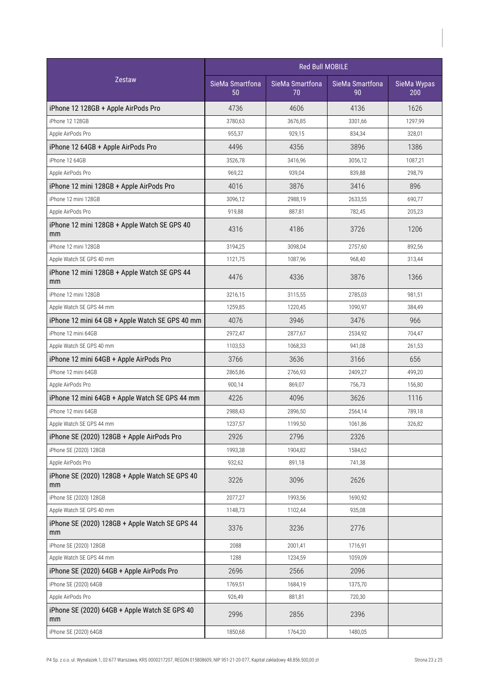| Zestaw                                               | <b>Red Bull MOBILE</b> |                       |                       |                    |  |
|------------------------------------------------------|------------------------|-----------------------|-----------------------|--------------------|--|
|                                                      | SieMa Smartfona<br>50  | SieMa Smartfona<br>70 | SieMa Smartfona<br>90 | SieMa Wypas<br>200 |  |
| iPhone 12 128GB + Apple AirPods Pro                  | 4736                   | 4606                  | 4136                  | 1626               |  |
| iPhone 12 128GB                                      | 3780,63                | 3676,85               | 3301,66               | 1297,99            |  |
| Apple AirPods Pro                                    | 955,37                 | 929,15                | 834,34                | 328,01             |  |
| iPhone 12 64GB + Apple AirPods Pro                   | 4496                   | 4356                  | 3896                  | 1386               |  |
| iPhone 12 64GB                                       | 3526,78                | 3416,96               | 3056,12               | 1087.21            |  |
| Apple AirPods Pro                                    | 969,22                 | 939,04                | 839,88                | 298,79             |  |
| iPhone 12 mini 128GB + Apple AirPods Pro             | 4016                   | 3876                  | 3416                  | 896                |  |
| iPhone 12 mini 128GB                                 | 3096,12                | 2988,19               | 2633,55               | 690,77             |  |
| Apple AirPods Pro                                    | 919,88                 | 887,81                | 782,45                | 205,23             |  |
| iPhone 12 mini 128GB + Apple Watch SE GPS 40<br>mm   | 4316                   | 4186                  | 3726                  | 1206               |  |
| iPhone 12 mini 128GB                                 | 3194,25                | 3098,04               | 2757,60               | 892,56             |  |
| Apple Watch SE GPS 40 mm                             | 1121,75                | 1087,96               | 968,40                | 313,44             |  |
| iPhone 12 mini 128GB + Apple Watch SE GPS 44<br>mm   | 4476                   | 4336                  | 3876                  | 1366               |  |
| iPhone 12 mini 128GB                                 | 3216,15                | 3115,55               | 2785,03               | 981.51             |  |
| Apple Watch SE GPS 44 mm                             | 1259,85                | 1220,45               | 1090,97               | 384,49             |  |
| iPhone 12 mini 64 GB + Apple Watch SE GPS 40 mm      | 4076                   | 3946                  | 3476                  | 966                |  |
| iPhone 12 mini 64GB                                  | 2972,47                | 2877,67               | 2534,92               | 704,47             |  |
| Apple Watch SE GPS 40 mm                             | 1103,53                | 1068,33               | 941,08                | 261,53             |  |
| iPhone 12 mini 64GB + Apple AirPods Pro              | 3766                   | 3636                  | 3166                  | 656                |  |
| iPhone 12 mini 64GB                                  | 2865,86                | 2766,93               | 2409,27               | 499,20             |  |
| Apple AirPods Pro                                    | 900,14                 | 869,07                | 756,73                | 156,80             |  |
| iPhone 12 mini 64GB + Apple Watch SE GPS 44 mm       | 4226                   | 4096                  | 3626                  | 1116               |  |
| iPhone 12 mini 64GB                                  | 2988,43                | 2896,50               | 2564,14               | 789,18             |  |
| Apple Watch SE GPS 44 mm                             | 1237,57                | 1199,50               | 1061,86               | 326,82             |  |
| iPhone SE (2020) 128GB + Apple AirPods Pro           | 2926                   | 2796                  | 2326                  |                    |  |
| iPhone SE (2020) 128GB                               | 1993,38                | 1904,82               | 1584,62               |                    |  |
| Apple AirPods Pro                                    | 932,62                 | 891,18                | 741,38                |                    |  |
| iPhone SE (2020) 128GB + Apple Watch SE GPS 40<br>mm | 3226                   | 3096                  | 2626                  |                    |  |
| iPhone SE (2020) 128GB                               | 2077,27                | 1993,56               | 1690,92               |                    |  |
| Apple Watch SE GPS 40 mm                             | 1148,73                | 1102,44               | 935,08                |                    |  |
| iPhone SE (2020) 128GB + Apple Watch SE GPS 44<br>mm | 3376                   | 3236                  | 2776                  |                    |  |
| iPhone SE (2020) 128GB                               | 2088                   | 2001,41               | 1716,91               |                    |  |
| Apple Watch SE GPS 44 mm                             | 1288                   | 1234,59               | 1059,09               |                    |  |
| iPhone SE (2020) 64GB + Apple AirPods Pro            | 2696                   | 2566                  | 2096                  |                    |  |
| iPhone SE (2020) 64GB                                | 1769,51                | 1684,19               | 1375,70               |                    |  |
| Apple AirPods Pro                                    | 926,49                 | 881,81                | 720,30                |                    |  |
| iPhone SE (2020) 64GB + Apple Watch SE GPS 40<br>mm  | 2996                   | 2856                  | 2396                  |                    |  |
| iPhone SE (2020) 64GB                                | 1850,68                | 1764,20               | 1480,05               |                    |  |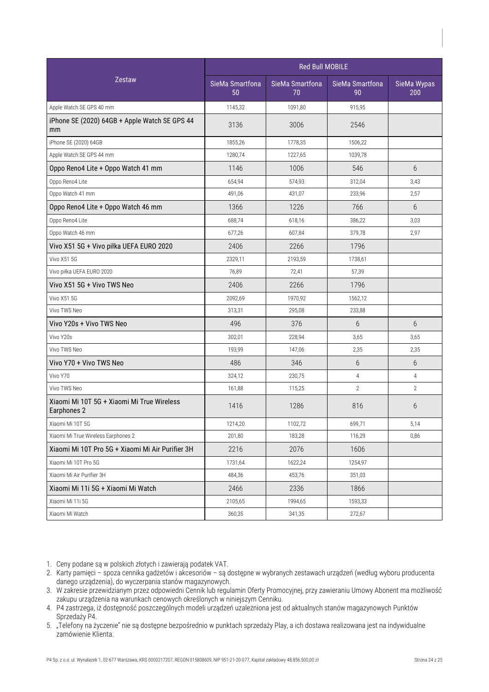| Zestaw                                                    | <b>Red Bull MOBILE</b> |                       |                       |                    |  |
|-----------------------------------------------------------|------------------------|-----------------------|-----------------------|--------------------|--|
|                                                           | SieMa Smartfona<br>50  | SieMa Smartfona<br>70 | SieMa Smartfona<br>90 | SieMa Wypas<br>200 |  |
| Apple Watch SE GPS 40 mm                                  | 1145,32                | 1091,80               | 915,95                |                    |  |
| iPhone SE (2020) 64GB + Apple Watch SE GPS 44<br>mm       | 3136                   | 3006                  | 2546                  |                    |  |
| iPhone SE (2020) 64GB                                     | 1855,26                | 1778,35               | 1506,22               |                    |  |
| Apple Watch SE GPS 44 mm                                  | 1280,74                | 1227,65               | 1039,78               |                    |  |
| Oppo Reno4 Lite + Oppo Watch 41 mm                        | 1146                   | 1006                  | 546                   | 6                  |  |
| Oppo Reno4 Lite                                           | 654,94                 | 574,93                | 312,04                | 3,43               |  |
| Oppo Watch 41 mm                                          | 491,06                 | 431,07                | 233,96                | 2,57               |  |
| Oppo Reno4 Lite + Oppo Watch 46 mm                        | 1366                   | 1226                  | 766                   | 6                  |  |
| Oppo Reno4 Lite                                           | 688,74                 | 618,16                | 386,22                | 3,03               |  |
| Oppo Watch 46 mm                                          | 677,26                 | 607,84                | 379,78                | 2,97               |  |
| Vivo X51 5G + Vivo piłka UEFA EURO 2020                   | 2406                   | 2266                  | 1796                  |                    |  |
| Vivo X51 5G                                               | 2329,11                | 2193,59               | 1738,61               |                    |  |
| Vivo piłka UEFA EURO 2020                                 | 76,89                  | 72,41                 | 57,39                 |                    |  |
| Vivo X51 5G + Vivo TWS Neo                                | 2406                   | 2266                  | 1796                  |                    |  |
| Vivo X51 5G                                               | 2092,69                | 1970,92               | 1562,12               |                    |  |
| Vivo TWS Neo                                              | 313,31                 | 295,08                | 233,88                |                    |  |
| Vivo Y20s + Vivo TWS Neo                                  | 496                    | 376                   | 6                     | $6\overline{6}$    |  |
| Vivo Y20s                                                 | 302,01                 | 228,94                | 3,65                  | 3,65               |  |
| Vivo TWS Neo                                              | 193,99                 | 147,06                | 2,35                  | 2,35               |  |
| Vivo Y70 + Vivo TWS Neo                                   | 486                    | 346                   | 6                     | $6\overline{6}$    |  |
| Vivo Y70                                                  | 324,12                 | 230,75                | $\overline{4}$        | $\overline{4}$     |  |
| Vivo TWS Neo                                              | 161,88                 | 115,25                | $\overline{2}$        | $\overline{2}$     |  |
| Xiaomi Mi 10T 5G + Xiaomi Mi True Wireless<br>Earphones 2 | 1416                   | 1286                  | 816                   | 6                  |  |
| Xiaomi Mi 10T 5G                                          | 1214,20                | 1102,72               | 699,71                | 5,14               |  |
| Xiaomi Mi True Wireless Earphones 2                       | 201,80                 | 183,28                | 116,29                | 0,86               |  |
| Xiaomi Mi 10T Pro 5G + Xiaomi Mi Air Purifier 3H          | 2216                   | 2076                  | 1606                  |                    |  |
| Xiaomi Mi 10T Pro 5G                                      | 1731,64                | 1622,24               | 1254,97               |                    |  |
| Xiaomi Mi Air Purifier 3H                                 | 484,36                 | 453,76                | 351,03                |                    |  |
| Xiaomi Mi 11i 5G + Xiaomi Mi Watch                        | 2466                   | 2336                  | 1866                  |                    |  |
| Xiaomi Mi 11i 5G                                          | 2105,65                | 1994,65               | 1593,33               |                    |  |
| Xiaomi Mi Watch                                           | 360,35                 | 341,35                | 272,67                |                    |  |

1. Ceny podane są w polskich złotych i zawierają podatek VAT.

- 2. Karty pamięci spoza cennika gadżetów i akcesoriów są dostępne w wybranych zestawach urządzeń (według wyboru producenta danego urządzenia), do wyczerpania stanów magazynowych.
- 3. W zakresie przewidzianym przez odpowiedni Cennik lub regulamin Oferty Promocyjnej, przy zawieraniu Umowy Abonent ma możliwość zakupu urządzenia na warunkach cenowych określonych w niniejszym Cenniku.
- P4 zastrzega, iż dostępność poszczególnych modeli urządzeń uzależniona jestod aktualnych stanów magazynowych Punktów 4. Sprzedaży P4.
- 5. "Telefony na życzenie" nie są dostępne bezpośrednio w punktach sprzedaży Play, a ich dostawa realizowana jest na indywidualne zamówienie Klienta.